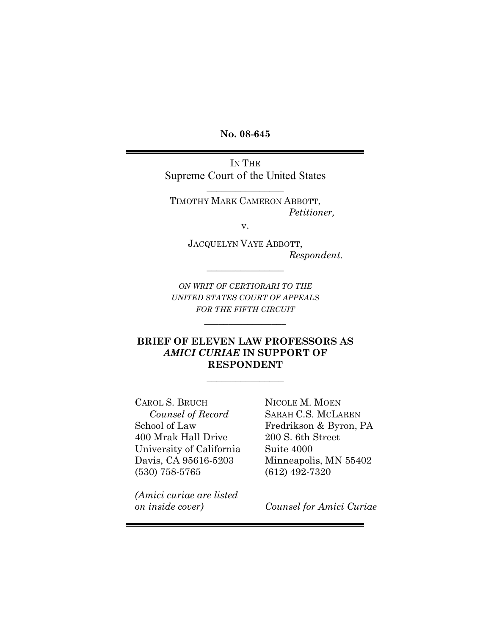**No. 08-645**

IN THE Supreme Court of the United States

 $\frac{1}{2}$  , where  $\frac{1}{2}$ 

TIMOTHY MARK CAMERON ABBOTT, *Petitioner,*

v.

JACQUELYN VAYE ABBOTT, *Respondent.*

*ON WRIT OF CERTIORARI TO THE UNITED STATES COURT OF APPEALS FOR THE FIFTH CIRCUIT*

 $\overline{\phantom{a}}$  , where  $\overline{\phantom{a}}$ 

 $\frac{1}{2}$  , where  $\frac{1}{2}$ 

## **BRIEF OF ELEVEN LAW PROFESSORS AS**  *AMICI CURIAE* **IN SUPPORT OF RESPONDENT**

 $\frac{1}{2}$  , where  $\frac{1}{2}$ 

CAROL S. BRUCH *Counsel of Record* School of Law 400 Mrak Hall Drive University of California Davis, CA 95616-5203 (530) 758-5765

NICOLE M. MOEN SARAH C.S. MCLAREN Fredrikson & Byron, PA 200 S. 6th Street Suite 4000 Minneapolis, MN 55402 (612) 492-7320

*(Amici curiae are listed on inside cover)*

*Counsel for Amici Curiae*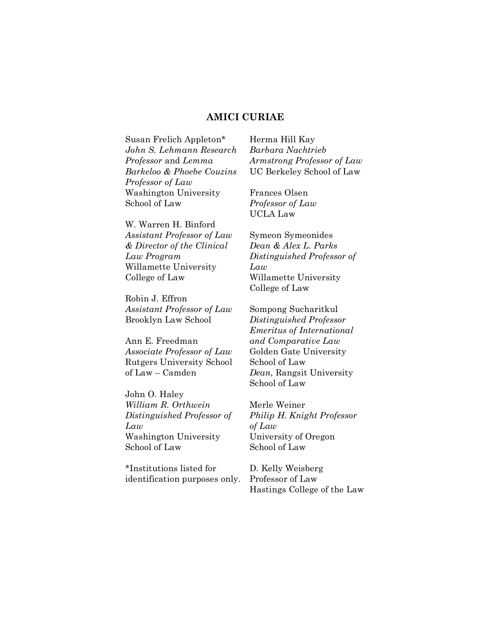#### **AMICI CURIAE**

Susan Frelich Appleton\* *John S. Lehmann Research Professor* and *Lemma Barkeloo & Phoebe Couzins Professor of Law* Washington University School of Law

W. Warren H. Binford *Assistant Professor of Law & Director of the Clinical Law Program* Willamette University College of Law

Robin J. Effron *Assistant Professor of Law* Brooklyn Law School

Ann E. Freedman *Associate Professor of Law* Rutgers University School of Law – Camden

John O. Haley *William R. Orthwein Distinguished Professor of Law* Washington University School of Law

\*Institutions listed for identification purposes only.

Herma Hill Kay *Barbara Nachtrieb Armstrong Professor of Law* UC Berkeley School of Law

Frances Olsen *Professor of Law* UCLA Law

Symeon Symeonides *Dean & Alex L. Parks Distinguished Professor of Law* Willamette University College of Law

Sompong Sucharitkul *Distinguished Professor Emeritus of International and Comparative Law* Golden Gate University School of Law *Dean*, Rangsit University School of Law

Merle Weiner *Philip H. Knight Professor of Law* University of Oregon School of Law

D. Kelly Weisberg Professor of Law Hastings College of the Law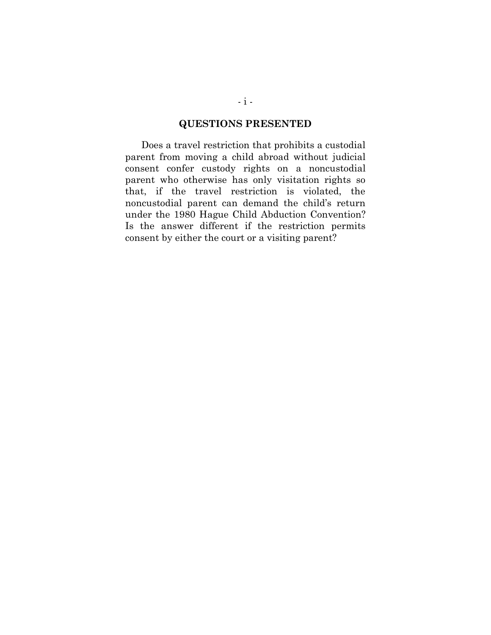#### **QUESTIONS PRESENTED**

Does a travel restriction that prohibits a custodial parent from moving a child abroad without judicial consent confer custody rights on a noncustodial parent who otherwise has only visitation rights so that, if the travel restriction is violated, the noncustodial parent can demand the child's return under the 1980 Hague Child Abduction Convention? Is the answer different if the restriction permits consent by either the court or a visiting parent?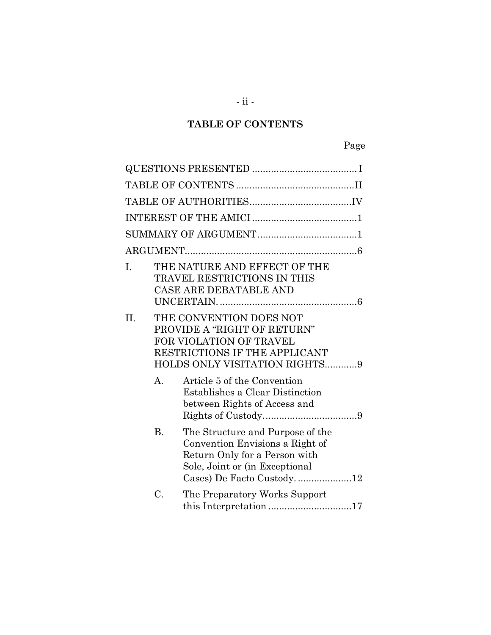# **TABLE OF CONTENTS**

# Page

| I.  |             | THE NATURE AND EFFECT OF THE<br>TRAVEL RESTRICTIONS IN THIS<br>CASE ARE DEBATABLE AND                                                                               |
|-----|-------------|---------------------------------------------------------------------------------------------------------------------------------------------------------------------|
| II. |             | THE CONVENTION DOES NOT<br>PROVIDE A "RIGHT OF RETURN"<br><b>FOR VIOLATION OF TRAVEL</b><br>RESTRICTIONS IF THE APPLICANT<br>HOLDS ONLY VISITATION RIGHTS9          |
|     | $A_{\cdot}$ | Article 5 of the Convention<br>Establishes a Clear Distinction<br>between Rights of Access and                                                                      |
|     | <b>B.</b>   | The Structure and Purpose of the<br>Convention Envisions a Right of<br>Return Only for a Person with<br>Sole, Joint or (in Exceptional<br>Cases) De Facto Custody12 |
|     | C.          | The Preparatory Works Support                                                                                                                                       |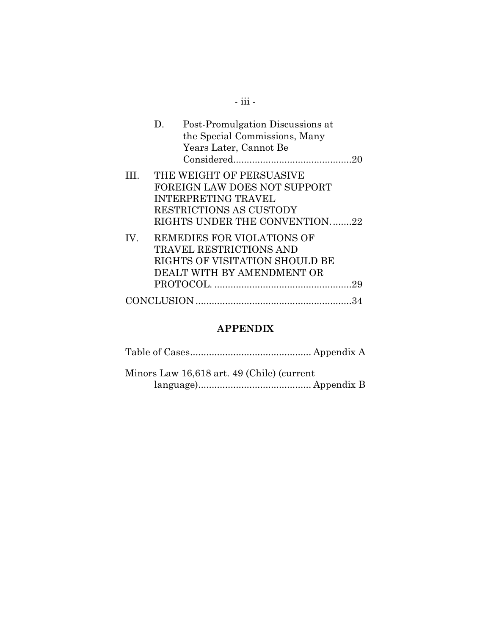|     | D.<br>Years Later, Cannot Be                                                                                                 | Post-Promulgation Discussions at<br>the Special Commissions, Many |
|-----|------------------------------------------------------------------------------------------------------------------------------|-------------------------------------------------------------------|
| HI. | THE WEIGHT OF PERSUASIVE<br>FOREIGN LAW DOES NOT SUPPORT<br><b>INTERPRETING TRAVEL</b><br>RESTRICTIONS AS CUSTODY            | RIGHTS UNDER THE CONVENTION22                                     |
| IV. | REMEDIES FOR VIOLATIONS OF<br><b>TRAVEL RESTRICTIONS AND</b><br>RIGHTS OF VISITATION SHOULD BE<br>DEALT WITH BY AMENDMENT OR | 29                                                                |
|     |                                                                                                                              |                                                                   |

# **APPENDIX**

| Minors Law 16,618 art. 49 (Chile) (current |
|--------------------------------------------|
|                                            |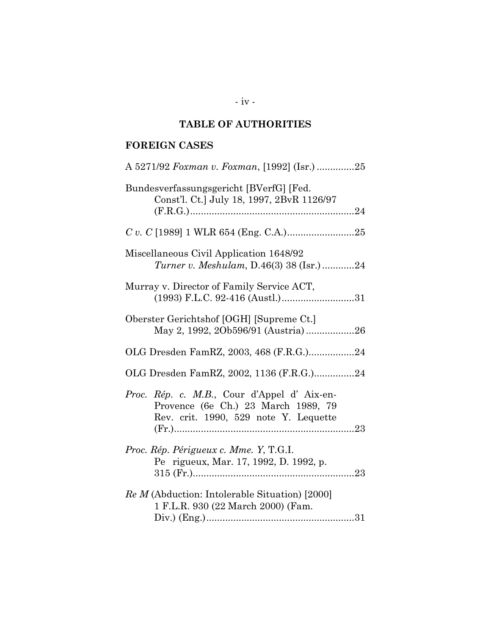# **TABLE OF AUTHORITIES**

## **FOREIGN CASES**

| A 5271/92 Foxman v. Foxman, [1992] (Isr.) 25                                                                               |
|----------------------------------------------------------------------------------------------------------------------------|
| Bundesverfassungsgericht [BVerfG] [Fed.<br>Const'l. Ct.] July 18, 1997, 2BvR 1126/97                                       |
|                                                                                                                            |
| Miscellaneous Civil Application 1648/92<br><i>Turner v. Meshulam, D.46(3) 38 (Isr.)</i> 24                                 |
| Murray v. Director of Family Service ACT,<br>(1993) F.L.C. 92-416 (Austl.)31                                               |
| Oberster Gerichtshof [OGH] [Supreme Ct.]<br>May 2, 1992, 20b596/91 (Austria)26                                             |
| OLG Dresden FamRZ, 2003, 468 (F.R.G.)24                                                                                    |
| OLG Dresden FamRZ, 2002, 1136 (F.R.G.)24                                                                                   |
| Proc. Rép. c. M.B., Cour d'Appel d'Aix-en-<br>Provence (6e Ch.) 23 March 1989, 79<br>Rev. crit. 1990, 529 note Y. Lequette |
| Proc. Rép. Périgueux c. Mme. Y, T.G.I.<br>Pe rigueux, Mar. 17, 1992, D. 1992, p.                                           |
| Re M (Abduction: Intolerable Situation) [2000]<br>1 F.L.R. 930 (22 March 2000) (Fam.                                       |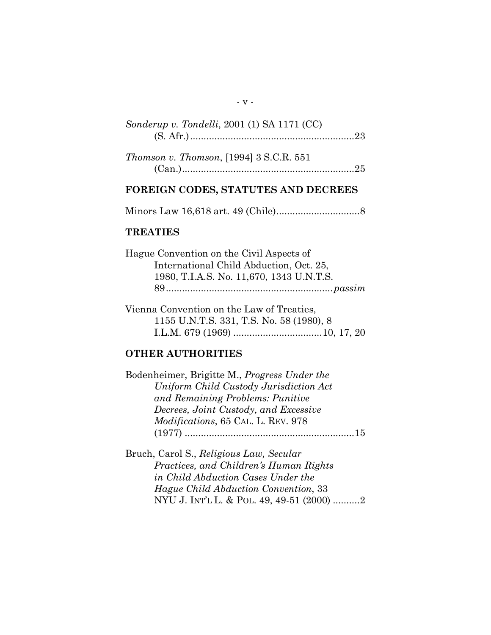# *Sonderup v. Tondelli*, 2001 (1) SA 1171 (CC) (S. Afr.).............................................................23

| Thomson v. Thomson, [1994] 3 S.C.R. 551 |  |
|-----------------------------------------|--|
|                                         |  |

## **FOREIGN CODES, STATUTES AND DECREES**

Minors Law 16,618 art. 49 (Chile)...............................8

#### **TREATIES**

| International Child Abduction, Oct. 25,  |
|------------------------------------------|
| 1980, T.I.A.S. No. 11,670, 1343 U.N.T.S. |
|                                          |

Vienna Convention on the Law of Treaties, 1155 U.N.T.S. 331, T.S. No. 58 (1980), 8 I.L.M. 679 (1969) .................................10, 17, 20

### **OTHER AUTHORITIES**

| Bodenheimer, Brigitte M., Progress Under the |    |
|----------------------------------------------|----|
| Uniform Child Custody Jurisdiction Act       |    |
| and Remaining Problems: Punitive             |    |
| Decrees, Joint Custody, and Excessive        |    |
| <i>Modifications, 65 CAL. L. REV. 978</i>    |    |
|                                              | 15 |

Bruch, Carol S., *Religious Law, Secular Practices, and Children's Human Rights in Child Abduction Cases Under the Hague Child Abduction Convention*, 33 NYU J. INT'L L. & POL. 49, 49-51 (2000) ..........2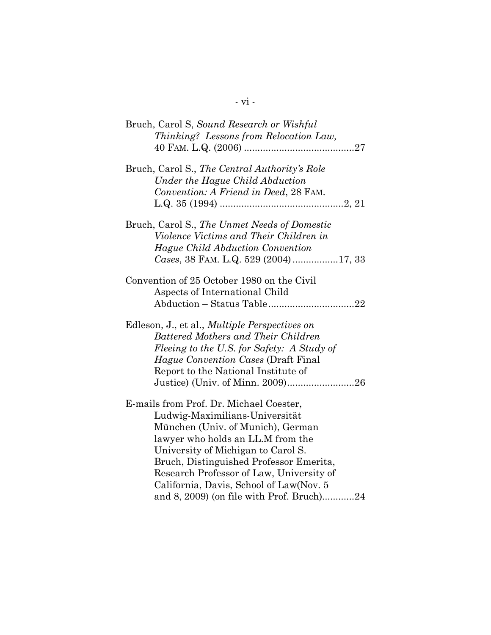| Bruch, Carol S, Sound Research or Wishful                                    |
|------------------------------------------------------------------------------|
| Thinking? Lessons from Relocation Law,                                       |
| Bruch, Carol S., The Central Authority's Role                                |
| Under the Hague Child Abduction                                              |
| Convention: A Friend in Deed, 28 FAM.                                        |
| Bruch, Carol S., The Unmet Needs of Domestic                                 |
| Violence Victims and Their Children in                                       |
| Hague Child Abduction Convention                                             |
| Cases, 38 FAM. L.Q. 529 (2004)17, 33                                         |
| Convention of 25 October 1980 on the Civil<br>Aspects of International Child |
|                                                                              |
| Edleson, J., et al., <i>Multiple Perspectives on</i>                         |
| Battered Mothers and Their Children                                          |
| Fleeing to the U.S. for Safety: A Study of                                   |
| Hague Convention Cases (Draft Final                                          |
| Report to the National Institute of                                          |
|                                                                              |
| E-mails from Prof. Dr. Michael Coester,                                      |
| Ludwig-Maximilians-Universität                                               |
| München (Univ. of Munich), German                                            |
| lawyer who holds an LL.M from the                                            |
| University of Michigan to Carol S.                                           |
| Bruch, Distinguished Professor Emerita,                                      |
| Research Professor of Law, University of                                     |
| California, Davis, School of Law(Nov. 5                                      |
| and 8, 2009) (on file with Prof. Bruch)24                                    |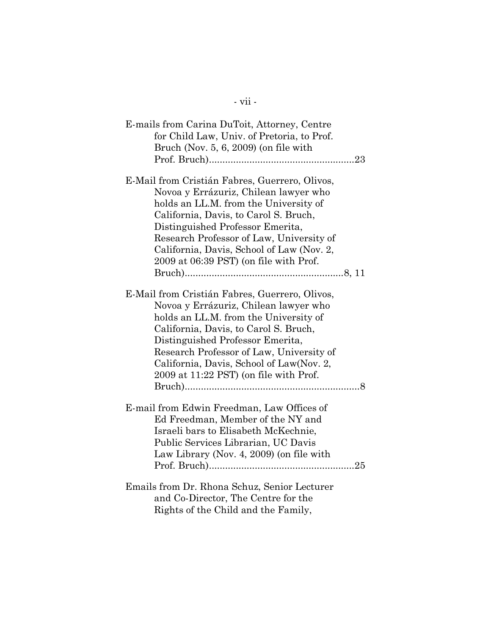| E-mails from Carina DuToit, Attorney, Centre<br>for Child Law, Univ. of Pretoria, to Prof.<br>Bruch (Nov. $5, 6, 2009$ ) (on file with                                                                                                                                                                                                          |
|-------------------------------------------------------------------------------------------------------------------------------------------------------------------------------------------------------------------------------------------------------------------------------------------------------------------------------------------------|
| E-Mail from Cristián Fabres, Guerrero, Olivos,<br>Novoa y Errázuriz, Chilean lawyer who<br>holds an LL.M. from the University of<br>California, Davis, to Carol S. Bruch,<br>Distinguished Professor Emerita,<br>Research Professor of Law, University of<br>California, Davis, School of Law (Nov. 2,                                          |
| 2009 at 06:39 PST) (on file with Prof.                                                                                                                                                                                                                                                                                                          |
| E-Mail from Cristián Fabres, Guerrero, Olivos,<br>Novoa y Errázuriz, Chilean lawyer who<br>holds an LL.M. from the University of<br>California, Davis, to Carol S. Bruch,<br>Distinguished Professor Emerita,<br>Research Professor of Law, University of<br>California, Davis, School of Law(Nov. 2,<br>2009 at 11:22 PST) (on file with Prof. |
| E-mail from Edwin Freedman, Law Offices of<br>Ed Freedman, Member of the NY and<br>Israeli bars to Elisabeth McKechnie,<br>Public Services Librarian, UC Davis<br>Law Library (Nov. 4, 2009) (on file with                                                                                                                                      |
| Emails from Dr. Rhona Schuz, Senior Lecturer<br>and Co-Director, The Centre for the<br>Rights of the Child and the Family,                                                                                                                                                                                                                      |

- vii -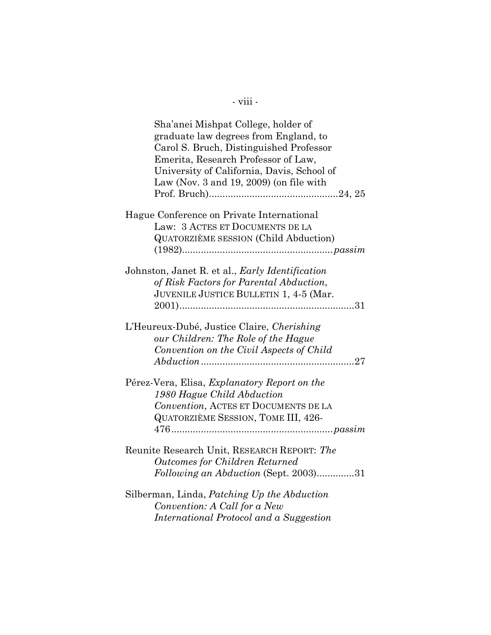| Sha'anei Mishpat College, holder of<br>graduate law degrees from England, to<br>Carol S. Bruch, Distinguished Professor<br>Emerita, Research Professor of Law,<br>University of California, Davis, School of<br>Law (Nov. $3$ and $19$ , $2009$ ) (on file with |
|-----------------------------------------------------------------------------------------------------------------------------------------------------------------------------------------------------------------------------------------------------------------|
| Hague Conference on Private International<br>Law: 3 ACTES ET DOCUMENTS DE LA<br><b>QUATORZIÈME SESSION (Child Abduction)</b>                                                                                                                                    |
| Johnston, Janet R. et al., Early Identification<br>of Risk Factors for Parental Abduction,<br>JUVENILE JUSTICE BULLETIN 1, 4-5 (Mar.                                                                                                                            |
| L'Heureux-Dubé, Justice Claire, Cherishing<br>our Children: The Role of the Hague<br>Convention on the Civil Aspects of Child                                                                                                                                   |
| Pérez-Vera, Elisa, Explanatory Report on the<br>1980 Hague Child Abduction<br>Convention, ACTES ET DOCUMENTS DE LA<br>QUATORZIÈME SESSION, TOME III, 426-                                                                                                       |
| Reunite Research Unit, RESEARCH REPORT: The<br><b>Outcomes for Children Returned</b><br>Following an Abduction (Sept. 2003)31                                                                                                                                   |
| Silberman, Linda, Patching Up the Abduction<br>Convention: A Call for a New<br>International Protocol and a Suggestion                                                                                                                                          |

- viii -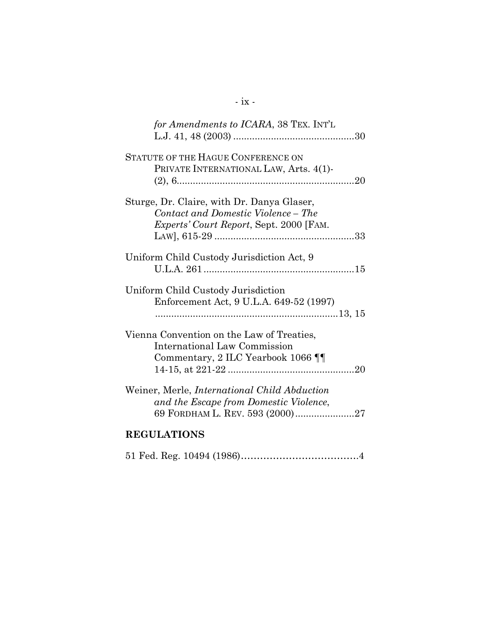| for Amendments to ICARA, 38 TEX. INT'L                                                                                           |
|----------------------------------------------------------------------------------------------------------------------------------|
| STATUTE OF THE HAGUE CONFERENCE ON<br>PRIVATE INTERNATIONAL LAW, Arts. 4(1)-                                                     |
| Sturge, Dr. Claire, with Dr. Danya Glaser,<br>Contact and Domestic Violence – The<br>Experts' Court Report, Sept. 2000 [FAM.     |
| Uniform Child Custody Jurisdiction Act, 9                                                                                        |
| Uniform Child Custody Jurisdiction<br>Enforcement Act, 9 U.L.A. 649-52 (1997)                                                    |
| Vienna Convention on the Law of Treaties,<br>International Law Commission<br>Commentary, 2 ILC Yearbook 1066 T                   |
| Weiner, Merle, <i>International Child Abduction</i><br>and the Escape from Domestic Violence,<br>69 FORDHAM L. REV. 593 (2000)27 |
| <b>REGULATIONS</b>                                                                                                               |

|--|--|--|--|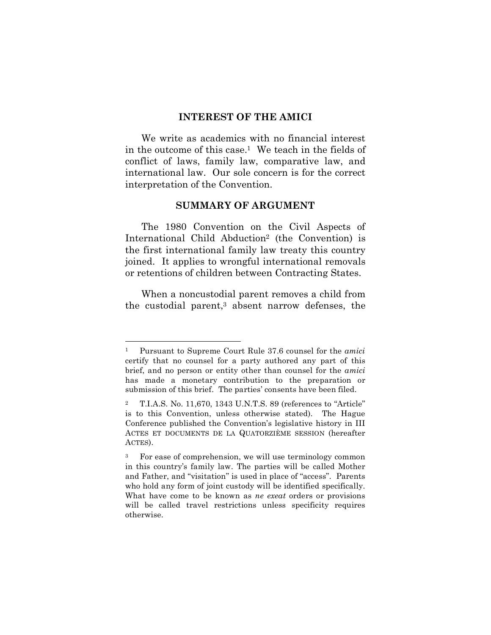#### **INTEREST OF THE AMICI**

We write as academics with no financial interest in the outcome of this case.1 We teach in the fields of conflict of laws, family law, comparative law, and international law. Our sole concern is for the correct interpretation of the Convention.

#### **SUMMARY OF ARGUMENT**

The 1980 Convention on the Civil Aspects of International Child Abduction2 (the Convention) is the first international family law treaty this country joined. It applies to wrongful international removals or retentions of children between Contracting States.

When a noncustodial parent removes a child from the custodial parent,3 absent narrow defenses, the

<sup>1</sup> Pursuant to Supreme Court Rule 37.6 counsel for the *amici* certify that no counsel for a party authored any part of this brief, and no person or entity other than counsel for the *amici* has made a monetary contribution to the preparation or submission of this brief. The parties' consents have been filed.

<sup>2</sup> T.I.A.S. No. 11,670, 1343 U.N.T.S. 89 (references to "Article" is to this Convention, unless otherwise stated). The Hague Conference published the Convention's legislative history in III ACTES ET DOCUMENTS DE LA QUATORZIÈME SESSION (hereafter ACTES).

<sup>3</sup> For ease of comprehension, we will use terminology common in this country's family law. The parties will be called Mother and Father, and "visitation" is used in place of "access". Parents who hold any form of joint custody will be identified specifically. What have come to be known as *ne exeat* orders or provisions will be called travel restrictions unless specificity requires otherwise.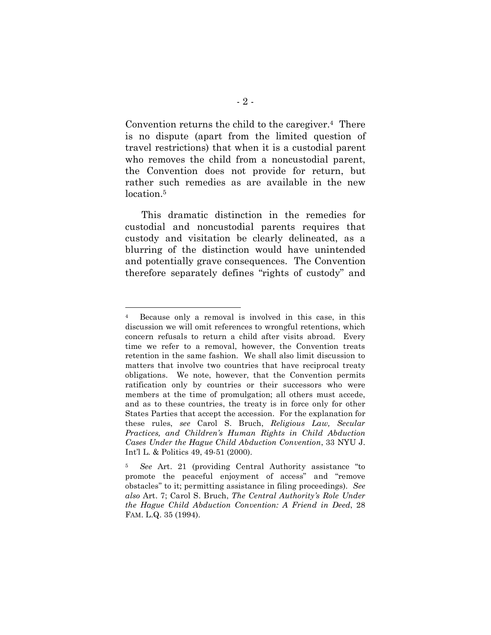Convention returns the child to the caregiver.4 There is no dispute (apart from the limited question of travel restrictions) that when it is a custodial parent who removes the child from a noncustodial parent, the Convention does not provide for return, but rather such remedies as are available in the new location.<sup>5</sup>

This dramatic distinction in the remedies for custodial and noncustodial parents requires that custody and visitation be clearly delineated, as a blurring of the distinction would have unintended and potentially grave consequences. The Convention therefore separately defines "rights of custody" and

<sup>4</sup> Because only a removal is involved in this case, in this discussion we will omit references to wrongful retentions, which concern refusals to return a child after visits abroad. Every time we refer to a removal, however, the Convention treats retention in the same fashion. We shall also limit discussion to matters that involve two countries that have reciprocal treaty obligations. We note, however, that the Convention permits ratification only by countries or their successors who were members at the time of promulgation; all others must accede, and as to these countries, the treaty is in force only for other States Parties that accept the accession. For the explanation for these rules, *see* Carol S. Bruch, *Religious Law, Secular Practices, and Children's Human Rights in Child Abduction Cases Under the Hague Child Abduction Convention*, 33 NYU J. Int'l L. & Politics 49, 49-51 (2000).

<sup>5</sup> *See* Art. 21 (providing Central Authority assistance "to promote the peaceful enjoyment of access" and "remove obstacles" to it; permitting assistance in filing proceedings). *See also* Art. 7; Carol S. Bruch, *The Central Authority's Role Under the Hague Child Abduction Convention: A Friend in Deed*, 28 FAM. L.Q. 35 (1994).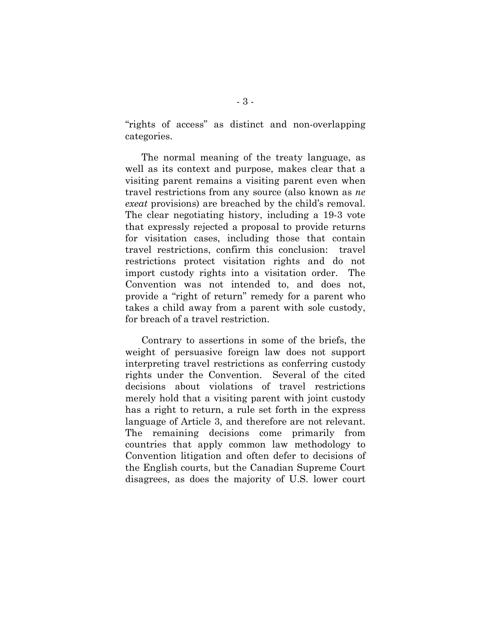"rights of access" as distinct and non-overlapping categories.

The normal meaning of the treaty language, as well as its context and purpose, makes clear that a visiting parent remains a visiting parent even when travel restrictions from any source (also known as *ne exeat* provisions) are breached by the child's removal. The clear negotiating history, including a 19-3 vote that expressly rejected a proposal to provide returns for visitation cases, including those that contain travel restrictions, confirm this conclusion: travel restrictions protect visitation rights and do not import custody rights into a visitation order. The Convention was not intended to, and does not, provide a "right of return" remedy for a parent who takes a child away from a parent with sole custody, for breach of a travel restriction.

Contrary to assertions in some of the briefs, the weight of persuasive foreign law does not support interpreting travel restrictions as conferring custody rights under the Convention. Several of the cited decisions about violations of travel restrictions merely hold that a visiting parent with joint custody has a right to return, a rule set forth in the express language of Article 3, and therefore are not relevant. The remaining decisions come primarily from countries that apply common law methodology to Convention litigation and often defer to decisions of the English courts, but the Canadian Supreme Court disagrees, as does the majority of U.S. lower court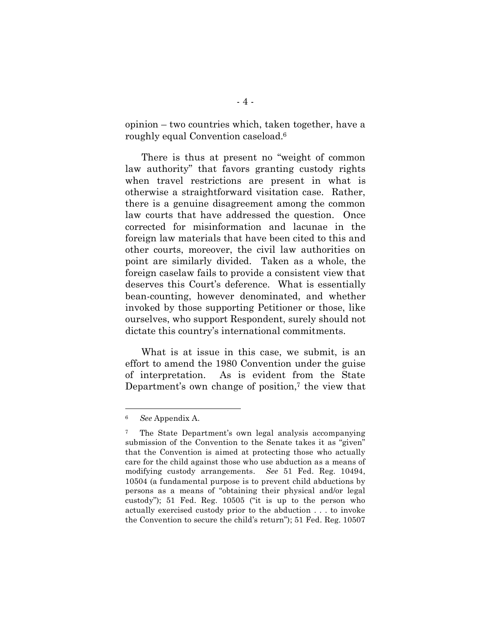opinion – two countries which, taken together, have a roughly equal Convention caseload.6

There is thus at present no "weight of common law authority" that favors granting custody rights when travel restrictions are present in what is otherwise a straightforward visitation case. Rather, there is a genuine disagreement among the common law courts that have addressed the question. Once corrected for misinformation and lacunae in the foreign law materials that have been cited to this and other courts, moreover, the civil law authorities on point are similarly divided. Taken as a whole, the foreign caselaw fails to provide a consistent view that deserves this Court's deference. What is essentially bean-counting, however denominated, and whether invoked by those supporting Petitioner or those, like ourselves, who support Respondent, surely should not dictate this country's international commitments.

What is at issue in this case, we submit, is an effort to amend the 1980 Convention under the guise of interpretation. As is evident from the State Department's own change of position, $\tau$  the view that

<sup>6</sup> *See* Appendix A.

<sup>7</sup> The State Department's own legal analysis accompanying submission of the Convention to the Senate takes it as "given" that the Convention is aimed at protecting those who actually care for the child against those who use abduction as a means of modifying custody arrangements. *See* 51 Fed. Reg. 10494, 10504 (a fundamental purpose is to prevent child abductions by persons as a means of "obtaining their physical and/or legal custody"); 51 Fed. Reg. 10505 ("it is up to the person who actually exercised custody prior to the abduction . . . to invoke the Convention to secure the child's return"); 51 Fed. Reg. 10507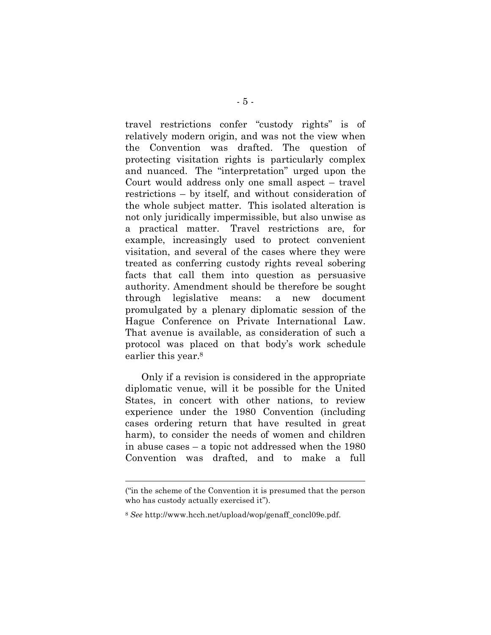travel restrictions confer "custody rights" is of relatively modern origin, and was not the view when the Convention was drafted. The question of protecting visitation rights is particularly complex and nuanced. The "interpretation" urged upon the Court would address only one small aspect – travel restrictions – by itself, and without consideration of the whole subject matter. This isolated alteration is not only juridically impermissible, but also unwise as a practical matter. Travel restrictions are, for example, increasingly used to protect convenient visitation, and several of the cases where they were treated as conferring custody rights reveal sobering facts that call them into question as persuasive authority. Amendment should be therefore be sought through legislative means: a new document promulgated by a plenary diplomatic session of the Hague Conference on Private International Law. That avenue is available, as consideration of such a protocol was placed on that body's work schedule earlier this year.<sup>8</sup>

Only if a revision is considered in the appropriate diplomatic venue, will it be possible for the United States, in concert with other nations, to review experience under the 1980 Convention (including cases ordering return that have resulted in great harm), to consider the needs of women and children in abuse cases – a topic not addressed when the 1980 Convention was drafted, and to make a full

<sup>(&</sup>quot;in the scheme of the Convention it is presumed that the person who has custody actually exercised it").

<sup>8</sup> *See* http://www.hcch.net/upload/wop/genaff\_concl09e.pdf.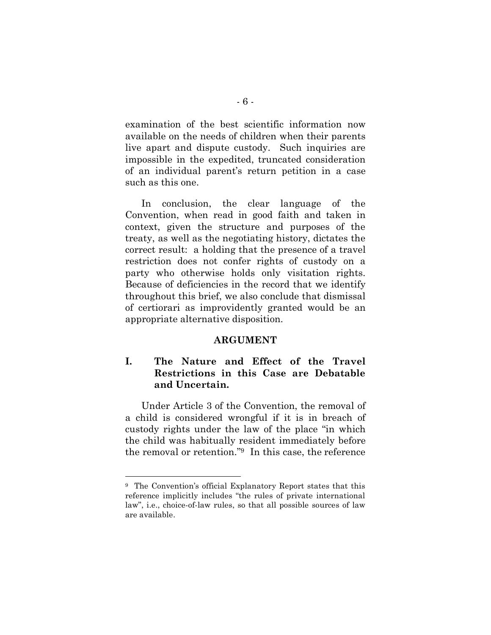examination of the best scientific information now available on the needs of children when their parents live apart and dispute custody. Such inquiries are impossible in the expedited, truncated consideration of an individual parent's return petition in a case such as this one.

In conclusion, the clear language of the Convention, when read in good faith and taken in context, given the structure and purposes of the treaty, as well as the negotiating history, dictates the correct result: a holding that the presence of a travel restriction does not confer rights of custody on a party who otherwise holds only visitation rights. Because of deficiencies in the record that we identify throughout this brief, we also conclude that dismissal of certiorari as improvidently granted would be an appropriate alternative disposition.

#### **ARGUMENT**

## **I. The Nature and Effect of the Travel Restrictions in this Case are Debatable and Uncertain.**

Under Article 3 of the Convention, the removal of a child is considered wrongful if it is in breach of custody rights under the law of the place "in which the child was habitually resident immediately before the removal or retention."9 In this case, the reference

<sup>9</sup> The Convention's official Explanatory Report states that this reference implicitly includes "the rules of private international law", i.e., choice-of-law rules, so that all possible sources of law are available.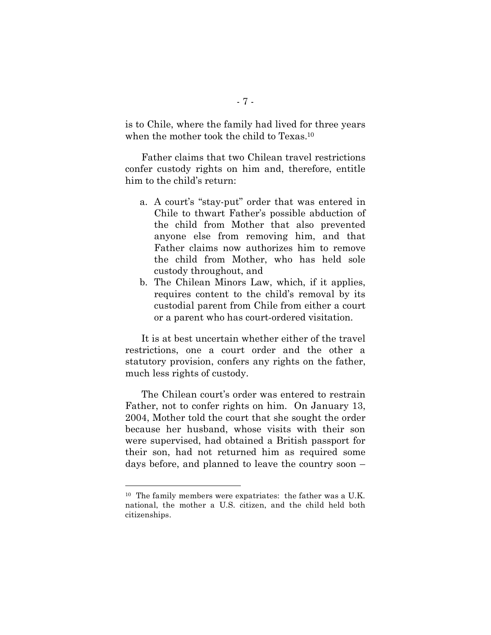is to Chile, where the family had lived for three years when the mother took the child to Texas.10

Father claims that two Chilean travel restrictions confer custody rights on him and, therefore, entitle him to the child's return:

- a. A court's "stay-put" order that was entered in Chile to thwart Father's possible abduction of the child from Mother that also prevented anyone else from removing him, and that Father claims now authorizes him to remove the child from Mother, who has held sole custody throughout, and
- b. The Chilean Minors Law, which, if it applies, requires content to the child's removal by its custodial parent from Chile from either a court or a parent who has court-ordered visitation.

It is at best uncertain whether either of the travel restrictions, one a court order and the other a statutory provision, confers any rights on the father, much less rights of custody.

The Chilean court's order was entered to restrain Father, not to confer rights on him. On January 13, 2004, Mother told the court that she sought the order because her husband, whose visits with their son were supervised, had obtained a British passport for their son, had not returned him as required some days before, and planned to leave the country soon –

<sup>10</sup> The family members were expatriates: the father was a U.K. national, the mother a U.S. citizen, and the child held both citizenships.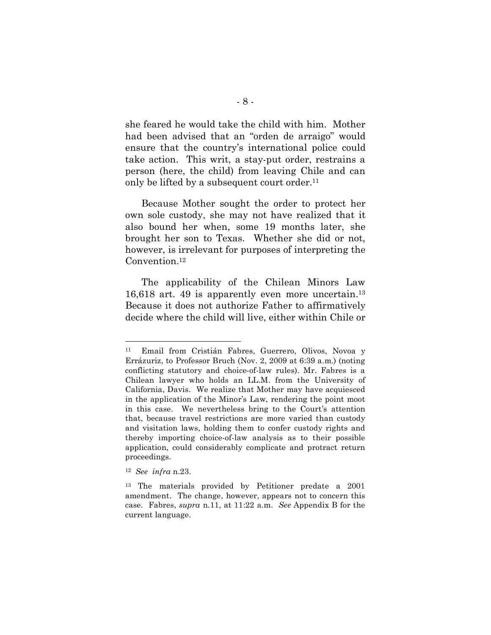she feared he would take the child with him. Mother had been advised that an "orden de arraigo" would ensure that the country's international police could take action. This writ, a stay-put order, restrains a person (here, the child) from leaving Chile and can only be lifted by a subsequent court order.<sup>11</sup>

Because Mother sought the order to protect her own sole custody, she may not have realized that it also bound her when, some 19 months later, she brought her son to Texas. Whether she did or not, however, is irrelevant for purposes of interpreting the Convention.12

The applicability of the Chilean Minors Law 16,618 art. 49 is apparently even more uncertain.13 Because it does not authorize Father to affirmatively decide where the child will live, either within Chile or

<sup>11</sup> Email from Cristián Fabres, Guerrero, Olivos, Novoa y Errázuriz, to Professor Bruch (Nov. 2, 2009 at 6:39 a.m.) (noting conflicting statutory and choice-of-law rules). Mr. Fabres is a Chilean lawyer who holds an LL.M. from the University of California, Davis. We realize that Mother may have acquiesced in the application of the Minor's Law, rendering the point moot in this case. We nevertheless bring to the Court's attention that, because travel restrictions are more varied than custody and visitation laws, holding them to confer custody rights and thereby importing choice-of-law analysis as to their possible application, could considerably complicate and protract return proceedings.

<sup>12</sup> *See infra* n.23.

<sup>13</sup> The materials provided by Petitioner predate a 2001 amendment. The change, however, appears not to concern this case. Fabres, *supra* n.11, at 11:22 a.m. *See* Appendix B for the current language.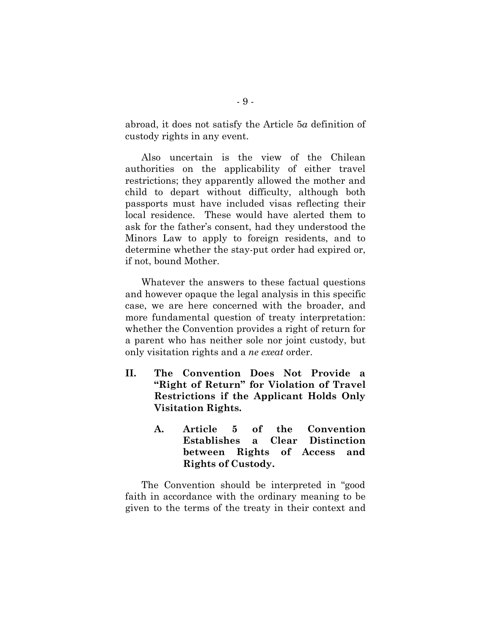abroad, it does not satisfy the Article 5*a* definition of custody rights in any event.

Also uncertain is the view of the Chilean authorities on the applicability of either travel restrictions; they apparently allowed the mother and child to depart without difficulty, although both passports must have included visas reflecting their local residence. These would have alerted them to ask for the father's consent, had they understood the Minors Law to apply to foreign residents, and to determine whether the stay-put order had expired or, if not, bound Mother.

Whatever the answers to these factual questions and however opaque the legal analysis in this specific case, we are here concerned with the broader, and more fundamental question of treaty interpretation: whether the Convention provides a right of return for a parent who has neither sole nor joint custody, but only visitation rights and a *ne exeat* order.

- **II. The Convention Does Not Provide a "Right of Return" for Violation of Travel Restrictions if the Applicant Holds Only Visitation Rights.**
	- **A. Article 5 of the Convention Establishes a Clear Distinction between Rights of Access and Rights of Custody.**

The Convention should be interpreted in "good faith in accordance with the ordinary meaning to be given to the terms of the treaty in their context and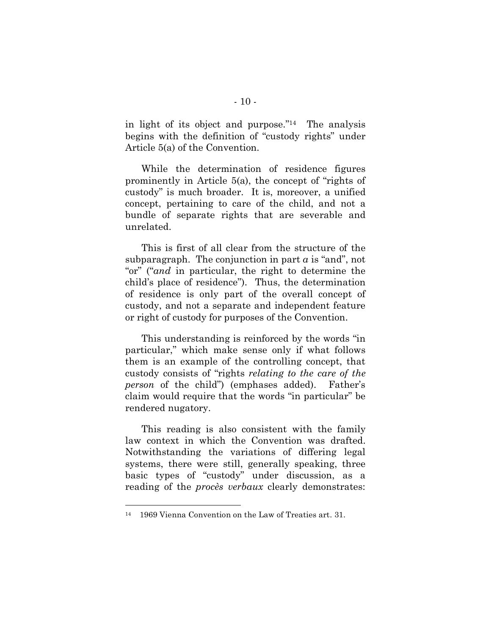in light of its object and purpose."14 The analysis begins with the definition of "custody rights" under Article 5(a) of the Convention.

While the determination of residence figures prominently in Article 5(a), the concept of "rights of custody" is much broader. It is, moreover, a unified concept, pertaining to care of the child, and not a bundle of separate rights that are severable and unrelated.

This is first of all clear from the structure of the subparagraph. The conjunction in part  $a$  is "and", not "or" ("*and* in particular, the right to determine the child's place of residence"). Thus, the determination of residence is only part of the overall concept of custody, and not a separate and independent feature or right of custody for purposes of the Convention.

This understanding is reinforced by the words "in particular," which make sense only if what follows them is an example of the controlling concept, that custody consists of "rights *relating to the care of the person* of the child") (emphases added). Father's claim would require that the words "in particular" be rendered nugatory.

This reading is also consistent with the family law context in which the Convention was drafted. Notwithstanding the variations of differing legal systems, there were still, generally speaking, three basic types of "custody" under discussion, as a reading of the *procès verbaux* clearly demonstrates:

<sup>14</sup> 1969 Vienna Convention on the Law of Treaties art. 31.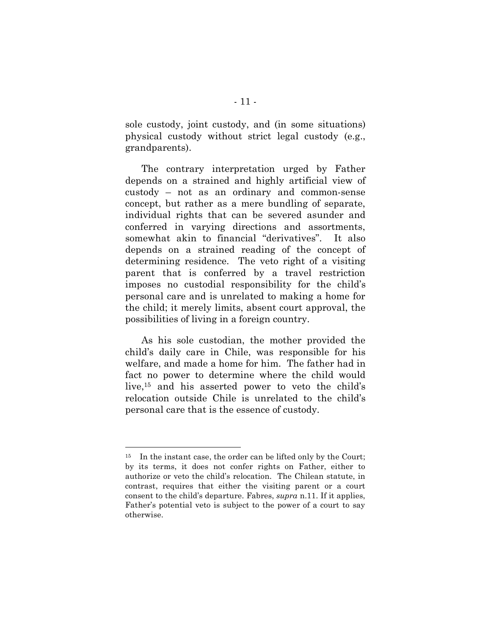sole custody, joint custody, and (in some situations) physical custody without strict legal custody (e.g., grandparents).

The contrary interpretation urged by Father depends on a strained and highly artificial view of custody – not as an ordinary and common-sense concept, but rather as a mere bundling of separate, individual rights that can be severed asunder and conferred in varying directions and assortments, somewhat akin to financial "derivatives". It also depends on a strained reading of the concept of determining residence. The veto right of a visiting parent that is conferred by a travel restriction imposes no custodial responsibility for the child's personal care and is unrelated to making a home for the child; it merely limits, absent court approval, the possibilities of living in a foreign country.

As his sole custodian, the mother provided the child's daily care in Chile, was responsible for his welfare, and made a home for him. The father had in fact no power to determine where the child would live,15 and his asserted power to veto the child's relocation outside Chile is unrelated to the child's personal care that is the essence of custody.

<sup>&</sup>lt;sup>15</sup> In the instant case, the order can be lifted only by the Court; by its terms, it does not confer rights on Father, either to authorize or veto the child's relocation. The Chilean statute, in contrast, requires that either the visiting parent or a court consent to the child's departure. Fabres, *supra* n.11. If it applies, Father's potential veto is subject to the power of a court to say otherwise.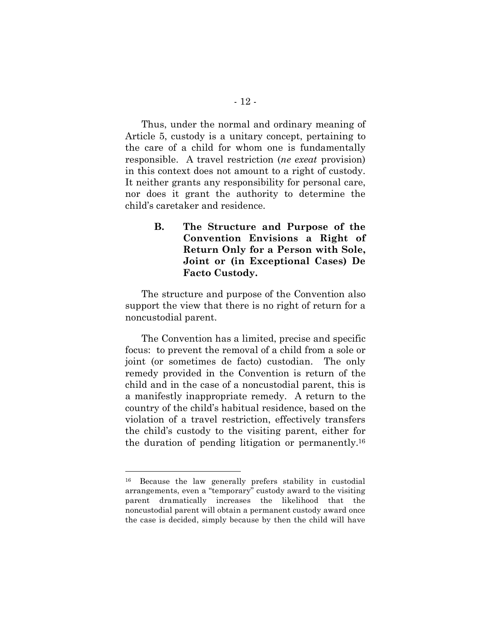Thus, under the normal and ordinary meaning of Article 5, custody is a unitary concept, pertaining to the care of a child for whom one is fundamentally responsible. A travel restriction (*ne exeat* provision) in this context does not amount to a right of custody. It neither grants any responsibility for personal care, nor does it grant the authority to determine the child's caretaker and residence.

> **B. The Structure and Purpose of the Convention Envisions a Right of Return Only for a Person with Sole, Joint or (in Exceptional Cases) De Facto Custody.**

The structure and purpose of the Convention also support the view that there is no right of return for a noncustodial parent.

The Convention has a limited, precise and specific focus: to prevent the removal of a child from a sole or joint (or sometimes de facto) custodian. The only remedy provided in the Convention is return of the child and in the case of a noncustodial parent, this is a manifestly inappropriate remedy. A return to the country of the child's habitual residence, based on the violation of a travel restriction, effectively transfers the child's custody to the visiting parent, either for the duration of pending litigation or permanently.16

<sup>16</sup> Because the law generally prefers stability in custodial arrangements, even a "temporary" custody award to the visiting parent dramatically increases the likelihood that the noncustodial parent will obtain a permanent custody award once the case is decided, simply because by then the child will have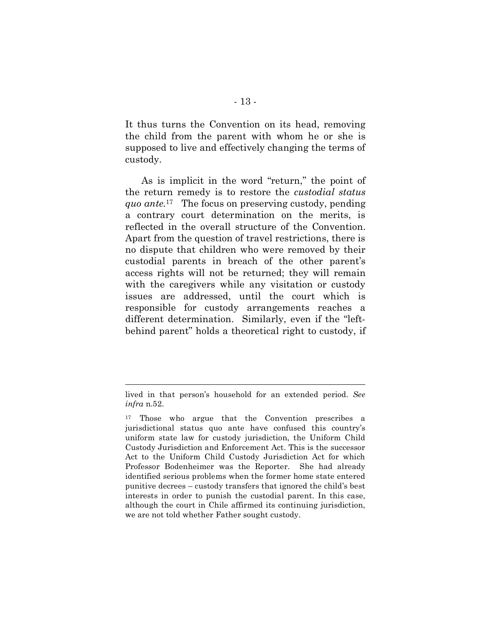It thus turns the Convention on its head, removing the child from the parent with whom he or she is supposed to live and effectively changing the terms of custody.

As is implicit in the word "return," the point of the return remedy is to restore the *custodial status quo ante.*<sup>17</sup> The focus on preserving custody, pending a contrary court determination on the merits, is reflected in the overall structure of the Convention. Apart from the question of travel restrictions, there is no dispute that children who were removed by their custodial parents in breach of the other parent's access rights will not be returned; they will remain with the caregivers while any visitation or custody issues are addressed, until the court which is responsible for custody arrangements reaches a different determination. Similarly, even if the "leftbehind parent" holds a theoretical right to custody, if

lived in that person's household for an extended period. *See infra* n.52.

<sup>17</sup> Those who argue that the Convention prescribes a jurisdictional status quo ante have confused this country's uniform state law for custody jurisdiction, the Uniform Child Custody Jurisdiction and Enforcement Act. This is the successor Act to the Uniform Child Custody Jurisdiction Act for which Professor Bodenheimer was the Reporter. She had already identified serious problems when the former home state entered punitive decrees – custody transfers that ignored the child's best interests in order to punish the custodial parent. In this case, although the court in Chile affirmed its continuing jurisdiction, we are not told whether Father sought custody.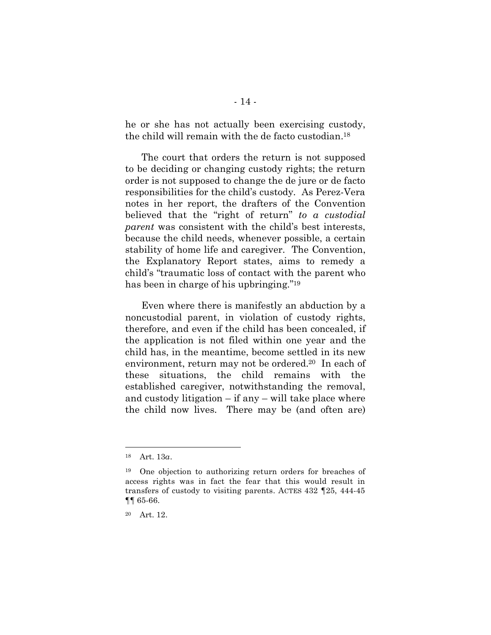he or she has not actually been exercising custody, the child will remain with the de facto custodian.18

The court that orders the return is not supposed to be deciding or changing custody rights; the return order is not supposed to change the de jure or de facto responsibilities for the child's custody. As Perez-Vera notes in her report, the drafters of the Convention believed that the "right of return" *to a custodial parent* was consistent with the child's best interests, because the child needs, whenever possible, a certain stability of home life and caregiver. The Convention, the Explanatory Report states, aims to remedy a child's "traumatic loss of contact with the parent who has been in charge of his upbringing."19

Even where there is manifestly an abduction by a noncustodial parent, in violation of custody rights, therefore, and even if the child has been concealed, if the application is not filed within one year and the child has, in the meantime, become settled in its new environment, return may not be ordered.20 In each of these situations, the child remains with the established caregiver, notwithstanding the removal, and custody litigation  $-$  if any  $-$  will take place where the child now lives. There may be (and often are)

<sup>18</sup> Art. 13*a*.

<sup>19</sup> One objection to authorizing return orders for breaches of access rights was in fact the fear that this would result in transfers of custody to visiting parents. ACTES 432 ¶25, 444-45 ¶¶ 65-66.

<sup>20</sup> Art. 12.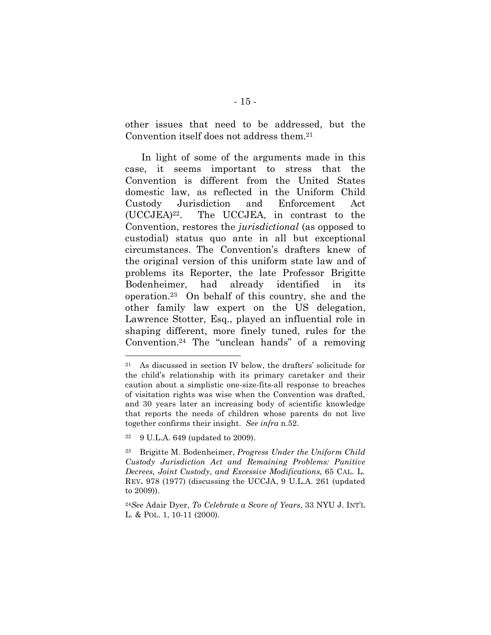other issues that need to be addressed, but the Convention itself does not address them.21

In light of some of the arguments made in this case, it seems important to stress that the Convention is different from the United States domestic law, as reflected in the Uniform Child Custody Jurisdiction and Enforcement Act (UCCJEA)22. The UCCJEA, in contrast to the Convention, restores the *jurisdictional* (as opposed to custodial) status quo ante in all but exceptional circumstances. The Convention's drafters knew of the original version of this uniform state law and of problems its Reporter, the late Professor Brigitte Bodenheimer, had already identified in its operation.23 On behalf of this country, she and the other family law expert on the US delegation, Lawrence Stotter, Esq., played an influential role in shaping different, more finely tuned, rules for the Convention.24 The "unclean hands" of a removing

<sup>21</sup> As discussed in section IV below, the drafters' solicitude for the child's relationship with its primary caretaker and their caution about a simplistic one-size-fits-all response to breaches of visitation rights was wise when the Convention was drafted, and 30 years later an increasing body of scientific knowledge that reports the needs of children whose parents do not live together confirms their insight. *See infra* n.52.

<sup>22</sup> 9 U.L.A. 649 (updated to 2009).

<sup>23</sup> Brigitte M. Bodenheimer, *Progress Under the Uniform Child Custody Jurisdiction Act and Remaining Problems: Punitive Decrees, Joint Custody, and Excessive Modifications*, 65 CAL. L. REV**.** 978 (1977) (discussing the UCCJA, 9 U.L.A. 261 (updated to 2009)).

<sup>24</sup>*See* Adair Dyer, *To Celebrate a Score of Years*, 33 NYU J. INT'L L. & POL. 1, 10-11 (2000).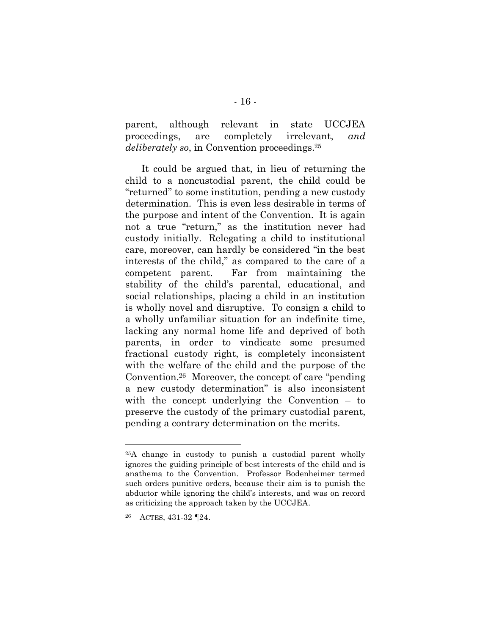parent, although relevant in state UCCJEA proceedings, are completely irrelevant, *and deliberately so*, in Convention proceedings.25

It could be argued that, in lieu of returning the child to a noncustodial parent, the child could be "returned" to some institution, pending a new custody determination. This is even less desirable in terms of the purpose and intent of the Convention. It is again not a true "return," as the institution never had custody initially. Relegating a child to institutional care, moreover, can hardly be considered "in the best interests of the child," as compared to the care of a competent parent. Far from maintaining the stability of the child's parental, educational, and social relationships, placing a child in an institution is wholly novel and disruptive. To consign a child to a wholly unfamiliar situation for an indefinite time, lacking any normal home life and deprived of both parents, in order to vindicate some presumed fractional custody right, is completely inconsistent with the welfare of the child and the purpose of the Convention.26 Moreover, the concept of care "pending a new custody determination" is also inconsistent with the concept underlying the Convention – to preserve the custody of the primary custodial parent, pending a contrary determination on the merits.

<sup>25</sup>A change in custody to punish a custodial parent wholly ignores the guiding principle of best interests of the child and is anathema to the Convention. Professor Bodenheimer termed such orders punitive orders, because their aim is to punish the abductor while ignoring the child's interests, and was on record as criticizing the approach taken by the UCCJEA.

ACTES, 431-32 **[24.**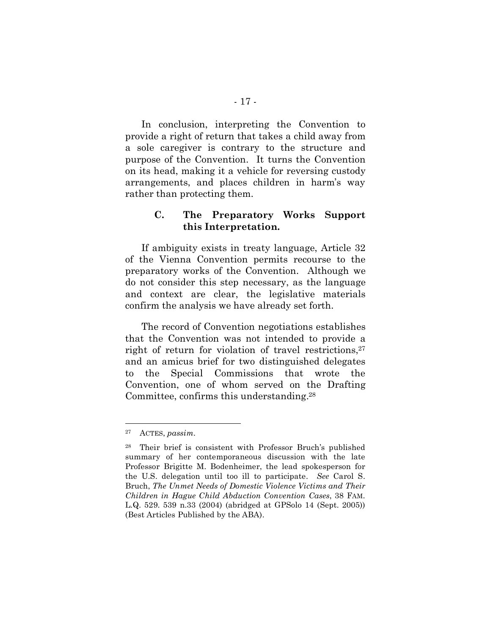In conclusion, interpreting the Convention to provide a right of return that takes a child away from a sole caregiver is contrary to the structure and purpose of the Convention. It turns the Convention on its head, making it a vehicle for reversing custody arrangements, and places children in harm's way rather than protecting them.

## **C. The Preparatory Works Support this Interpretation.**

If ambiguity exists in treaty language, Article 32 of the Vienna Convention permits recourse to the preparatory works of the Convention. Although we do not consider this step necessary, as the language and context are clear, the legislative materials confirm the analysis we have already set forth.

The record of Convention negotiations establishes that the Convention was not intended to provide a right of return for violation of travel restrictions,  $27$ and an amicus brief for two distinguished delegates to the Special Commissions that wrote the Convention, one of whom served on the Drafting Committee, confirms this understanding.28

<sup>27</sup> ACTES, *passim.*

<sup>28</sup> Their brief is consistent with Professor Bruch's published summary of her contemporaneous discussion with the late Professor Brigitte M. Bodenheimer, the lead spokesperson for the U.S. delegation until too ill to participate. *See* Carol S. Bruch, *The Unmet Needs of Domestic Violence Victims and Their Children in Hague Child Abduction Convention Cases*, 38 FAM. L.Q. 529. 539 n.33 (2004) (abridged at GPSolo 14 (Sept. 2005)) (Best Articles Published by the ABA).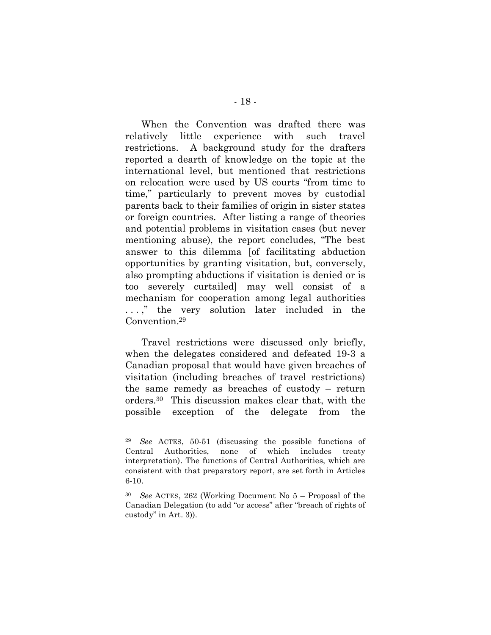When the Convention was drafted there was relatively little experience with such travel restrictions. A background study for the drafters reported a dearth of knowledge on the topic at the international level, but mentioned that restrictions on relocation were used by US courts "from time to time," particularly to prevent moves by custodial parents back to their families of origin in sister states or foreign countries. After listing a range of theories and potential problems in visitation cases (but never mentioning abuse), the report concludes, "The best answer to this dilemma [of facilitating abduction opportunities by granting visitation, but, conversely, also prompting abductions if visitation is denied or is too severely curtailed] may well consist of a mechanism for cooperation among legal authorities ...," the very solution later included in the Convention.29

Travel restrictions were discussed only briefly, when the delegates considered and defeated 19-3 a Canadian proposal that would have given breaches of visitation (including breaches of travel restrictions) the same remedy as breaches of custody – return orders.30 This discussion makes clear that, with the possible exception of the delegate from the

<sup>29</sup> *See* ACTES, 50-51 (discussing the possible functions of Central Authorities, none of which includes treaty interpretation). The functions of Central Authorities, which are consistent with that preparatory report, are set forth in Articles 6-10.

<sup>30</sup> *See* ACTES, 262 (Working Document No 5 – Proposal of the Canadian Delegation (to add "or access" after "breach of rights of custody" in Art. 3)).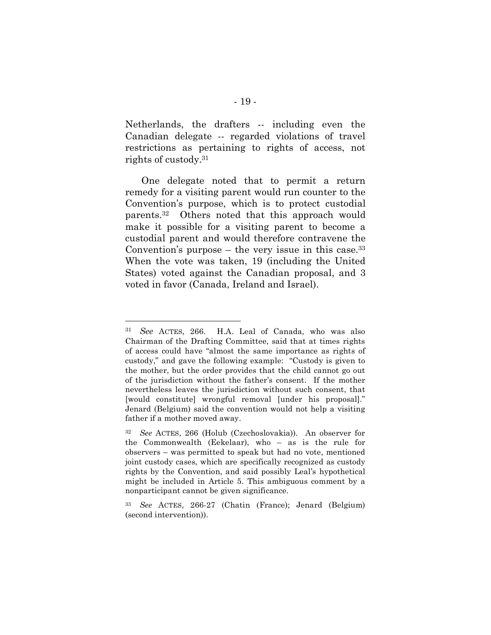Netherlands, the drafters -- including even the Canadian delegate -- regarded violations of travel restrictions as pertaining to rights of access, not rights of custody.31

One delegate noted that to permit a return remedy for a visiting parent would run counter to the Convention's purpose, which is to protect custodial parents.32 Others noted that this approach would make it possible for a visiting parent to become a custodial parent and would therefore contravene the Convention's purpose  $-$  the very issue in this case.<sup>33</sup> When the vote was taken, 19 (including the United States) voted against the Canadian proposal, and 3 voted in favor (Canada, Ireland and Israel).

<sup>31</sup> *See* ACTES, 266. H.A. Leal of Canada, who was also Chairman of the Drafting Committee, said that at times rights of access could have "almost the same importance as rights of custody," and gave the following example: "Custody is given to the mother, but the order provides that the child cannot go out of the jurisdiction without the father's consent. If the mother nevertheless leaves the jurisdiction without such consent, that [would constitute] wrongful removal [under his proposal]." Jenard (Belgium) said the convention would not help a visiting father if a mother moved away.

<sup>32</sup> *See* ACTES, 266 (Holub (Czechoslovakia)). An observer for the Commonwealth (Eekelaar), who – as is the rule for observers – was permitted to speak but had no vote, mentioned joint custody cases, which are specifically recognized as custody rights by the Convention, and said possibly Leal's hypothetical might be included in Article 5. This ambiguous comment by a nonparticipant cannot be given significance.

<sup>33</sup> *See* ACTES, 266-27 (Chatin (France); Jenard (Belgium) (second intervention)).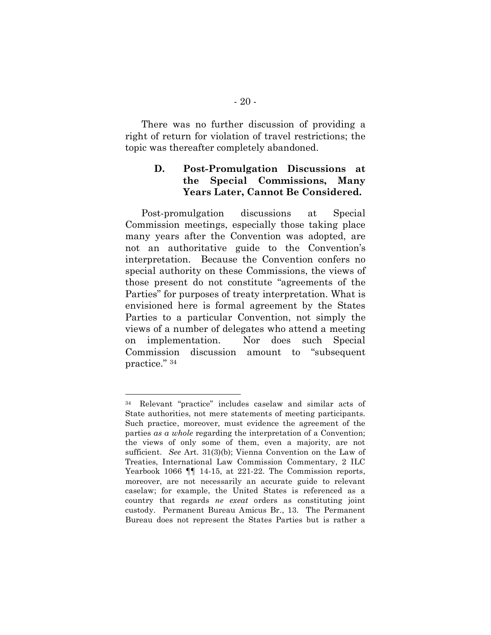There was no further discussion of providing a right of return for violation of travel restrictions; the topic was thereafter completely abandoned.

## **D. Post-Promulgation Discussions at the Special Commissions, Many Years Later, Cannot Be Considered.**

Post-promulgation discussions at Special Commission meetings, especially those taking place many years after the Convention was adopted, are not an authoritative guide to the Convention's interpretation. Because the Convention confers no special authority on these Commissions, the views of those present do not constitute "agreements of the Parties" for purposes of treaty interpretation. What is envisioned here is formal agreement by the States Parties to a particular Convention, not simply the views of a number of delegates who attend a meeting on implementation. Nor does such Special Commission discussion amount to "subsequent practice." 34

<sup>34</sup> Relevant "practice" includes caselaw and similar acts of State authorities, not mere statements of meeting participants. Such practice, moreover, must evidence the agreement of the parties *as a whole* regarding the interpretation of a Convention; the views of only some of them, even a majority, are not sufficient. *See* Art. 31(3)(b); Vienna Convention on the Law of Treaties, International Law Commission Commentary, 2 ILC Yearbook 1066 ¶¶ 14-15, at 221-22. The Commission reports, moreover, are not necessarily an accurate guide to relevant caselaw; for example, the United States is referenced as a country that regards *ne exeat* orders as constituting joint custody. Permanent Bureau Amicus Br., 13. The Permanent Bureau does not represent the States Parties but is rather a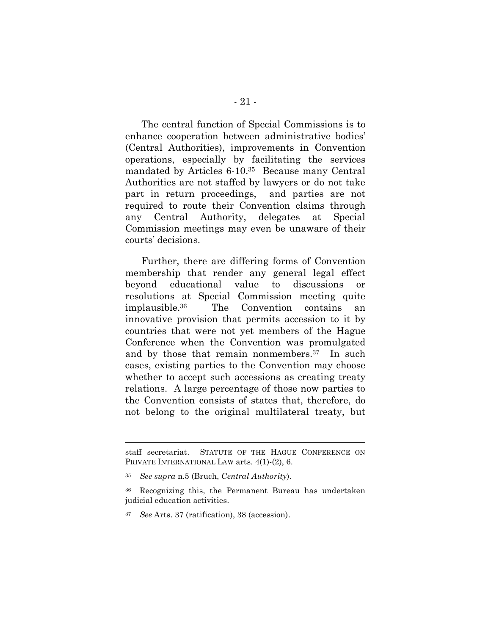The central function of Special Commissions is to enhance cooperation between administrative bodies' (Central Authorities), improvements in Convention operations, especially by facilitating the services mandated by Articles 6-10.35 Because many Central Authorities are not staffed by lawyers or do not take part in return proceedings, and parties are not required to route their Convention claims through any Central Authority, delegates at Special Commission meetings may even be unaware of their courts' decisions.

Further, there are differing forms of Convention membership that render any general legal effect beyond educational value to discussions or resolutions at Special Commission meeting quite implausible. The Convention contains an innovative provision that permits accession to it by countries that were not yet members of the Hague Conference when the Convention was promulgated and by those that remain nonmembers.37 In such cases, existing parties to the Convention may choose whether to accept such accessions as creating treaty relations. A large percentage of those now parties to the Convention consists of states that, therefore, do not belong to the original multilateral treaty, but

staff secretariat. STATUTE OF THE HAGUE CONFERENCE ON PRIVATE INTERNATIONAL LAW arts. 4(1)-(2), 6.

<sup>35</sup> *See supra* n.5 (Bruch, *Central Authority*).

<sup>36</sup> Recognizing this, the Permanent Bureau has undertaken judicial education activities.

<sup>37</sup> *See* Arts. 37 (ratification), 38 (accession).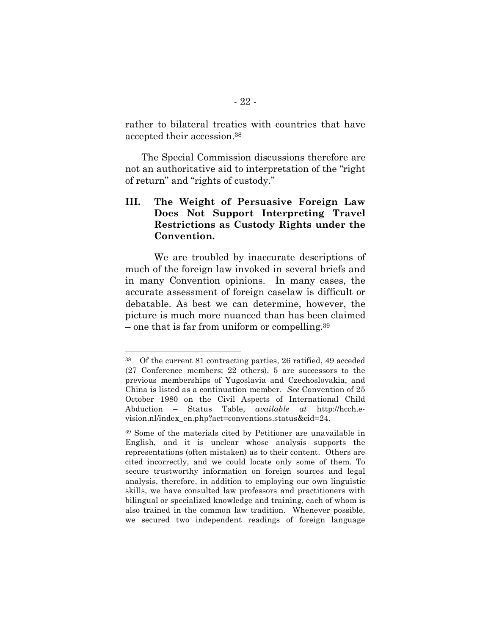rather to bilateral treaties with countries that have accepted their accession.38

The Special Commission discussions therefore are not an authoritative aid to interpretation of the "right of return" and "rights of custody."

## **III. The Weight of Persuasive Foreign Law Does Not Support Interpreting Travel Restrictions as Custody Rights under the Convention.**

We are troubled by inaccurate descriptions of much of the foreign law invoked in several briefs and in many Convention opinions. In many cases, the accurate assessment of foreign caselaw is difficult or debatable. As best we can determine, however, the picture is much more nuanced than has been claimed – one that is far from uniform or compelling.39

<sup>38</sup> Of the current 81 contracting parties, 26 ratified, 49 acceded (27 Conference members; 22 others), 5 are successors to the previous memberships of Yugoslavia and Czechoslovakia, and China is listed as a continuation member. *See* Convention of 25 October 1980 on the Civil Aspects of International Child Abduction – Status Table, *available at* http://hcch.evision.nl/index\_en.php?act=conventions.status&cid=24.

<sup>39</sup> Some of the materials cited by Petitioner are unavailable in English, and it is unclear whose analysis supports the representations (often mistaken) as to their content. Others are cited incorrectly, and we could locate only some of them. To secure trustworthy information on foreign sources and legal analysis, therefore, in addition to employing our own linguistic skills, we have consulted law professors and practitioners with bilingual or specialized knowledge and training, each of whom is also trained in the common law tradition. Whenever possible, we secured two independent readings of foreign language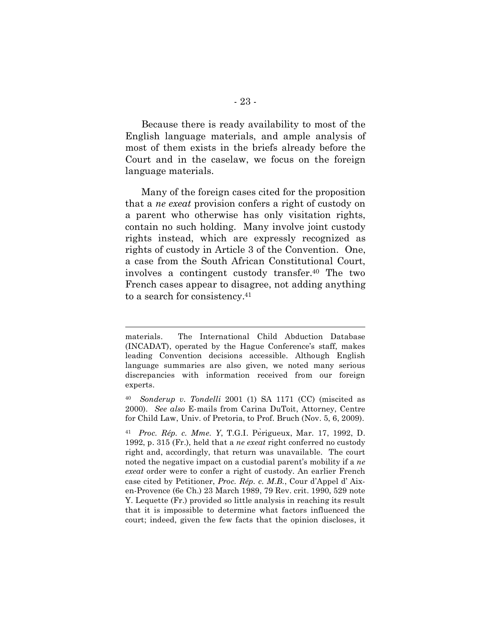Because there is ready availability to most of the English language materials, and ample analysis of most of them exists in the briefs already before the Court and in the caselaw, we focus on the foreign language materials.

Many of the foreign cases cited for the proposition that a *ne exeat* provision confers a right of custody on a parent who otherwise has only visitation rights, contain no such holding. Many involve joint custody rights instead, which are expressly recognized as rights of custody in Article 3 of the Convention. One, a case from the South African Constitutional Court, involves a contingent custody transfer.40 The two French cases appear to disagree, not adding anything to a search for consistency.41

materials. The International Child Abduction Database (INCADAT), operated by the Hague Conference's staff, makes leading Convention decisions accessible. Although English language summaries are also given, we noted many serious discrepancies with information received from our foreign experts.

<sup>40</sup> *Sonderup v. Tondelli* 2001 (1) SA 1171 (CC) (miscited as 2000). *See also* E-mails from Carina DuToit, Attorney, Centre for Child Law, Univ. of Pretoria, to Prof. Bruch (Nov. 5, 6, 2009).

<sup>41</sup> *Proc. Rép. c. Mme. Y*, T.G.I. Pèrigueux, Mar. 17, 1992, D. 1992, p. 315 (Fr.), held that a *ne exeat* right conferred no custody right and, accordingly, that return was unavailable. The court noted the negative impact on a custodial parent's mobility if a *ne exeat* order were to confer a right of custody. An earlier French case cited by Petitioner, *Proc. Rép. c. M.B.*, Cour d'Appel d' Aixen-Provence (6e Ch.) 23 March 1989, 79 Rev. crit. 1990, 529 note Y. Lequette (Fr.) provided so little analysis in reaching its result that it is impossible to determine what factors influenced the court; indeed, given the few facts that the opinion discloses, it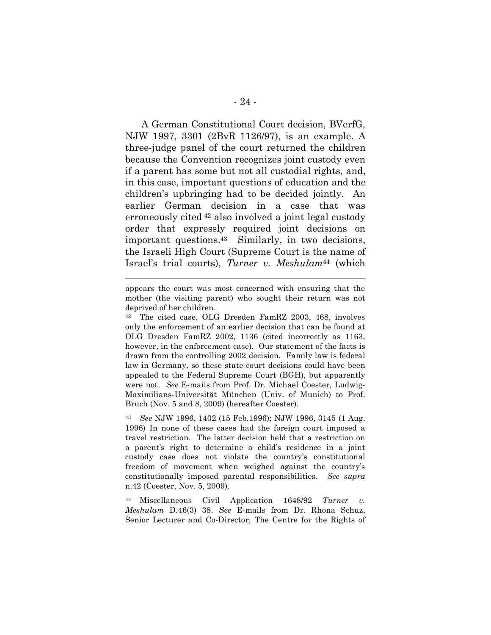A German Constitutional Court decision, BVerfG, NJW 1997, 3301 (2BvR 1126/97), is an example. A three-judge panel of the court returned the children because the Convention recognizes joint custody even if a parent has some but not all custodial rights, and, in this case, important questions of education and the children's upbringing had to be decided jointly. An earlier German decision in a case that was erroneously cited 42 also involved a joint legal custody order that expressly required joint decisions on important questions.43 Similarly, in two decisions, the Israeli High Court (Supreme Court is the name of Israel's trial courts), *Turner v. Meshulam*44 (which

 $\overline{a}$ 

<sup>42</sup> The cited case, OLG Dresden FamRZ 2003, 468, involves only the enforcement of an earlier decision that can be found at OLG Dresden FamRZ 2002, 1136 (cited incorrectly as 1163, however, in the enforcement case). Our statement of the facts is drawn from the controlling 2002 decision. Family law is federal law in Germany, so these state court decisions could have been appealed to the Federal Supreme Court (BGH), but apparently were not. *See* E-mails from Prof. Dr. Michael Coester, Ludwig-Maximilians-Universität München (Univ. of Munich) to Prof. Bruch (Nov. 5 and 8, 2009) (hereafter Coester).

<sup>43</sup> *See* NJW 1996, 1402 (15 Feb.1996); NJW 1996, 3145 (1 Aug. 1996) In none of these cases had the foreign court imposed a travel restriction. The latter decision held that a restriction on a parent's right to determine a child's residence in a joint custody case does not violate the country's constitutional freedom of movement when weighed against the country's constitutionally imposed parental responsibilities. *See supra* n.42 (Coester, Nov. 5, 2009).

<sup>44</sup> Miscellaneous Civil Application 1648/92 *Turner v. Meshulam* D.46(3) 38. *See* E-mails from Dr. Rhona Schuz, Senior Lecturer and Co-Director, The Centre for the Rights of

appears the court was most concerned with ensuring that the mother (the visiting parent) who sought their return was not deprived of her children.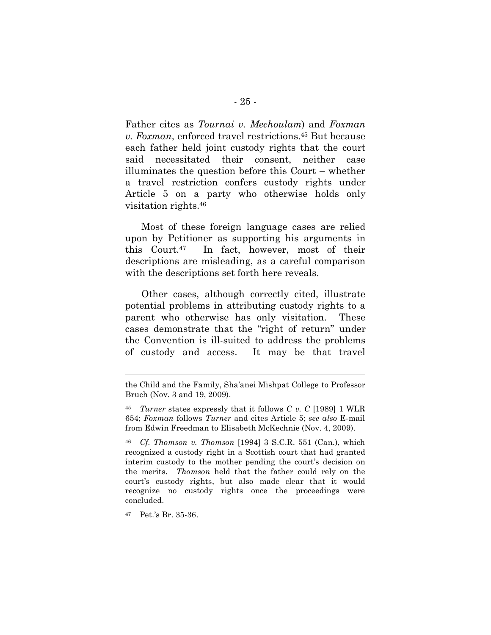Father cites as *Tournai v. Mechoulam*) and *Foxman v. Foxman*, enforced travel restrictions.45 But because each father held joint custody rights that the court said necessitated their consent, neither case illuminates the question before this Court – whether a travel restriction confers custody rights under Article 5 on a party who otherwise holds only visitation rights.46

Most of these foreign language cases are relied upon by Petitioner as supporting his arguments in this Court.47 In fact, however, most of their descriptions are misleading, as a careful comparison with the descriptions set forth here reveals.

Other cases, although correctly cited, illustrate potential problems in attributing custody rights to a parent who otherwise has only visitation. These cases demonstrate that the "right of return" under the Convention is ill-suited to address the problems of custody and access. It may be that travel

<sup>47</sup> Pet.'s Br. 35-36.

the Child and the Family, Sha'anei Mishpat College to Professor Bruch (Nov. 3 and 19, 2009).

<sup>45</sup> *Turner* states expressly that it follows *C v. C* [1989] 1 WLR 654; *Foxman* follows *Turner* and cites Article 5; *see also* E-mail from Edwin Freedman to Elisabeth McKechnie (Nov. 4, 2009).

<sup>46</sup> *Cf. Thomson v. Thomson* [1994] 3 S.C.R. 551 (Can.), which recognized a custody right in a Scottish court that had granted interim custody to the mother pending the court's decision on the merits. *Thomson* held that the father could rely on the court's custody rights, but also made clear that it would recognize no custody rights once the proceedings were concluded.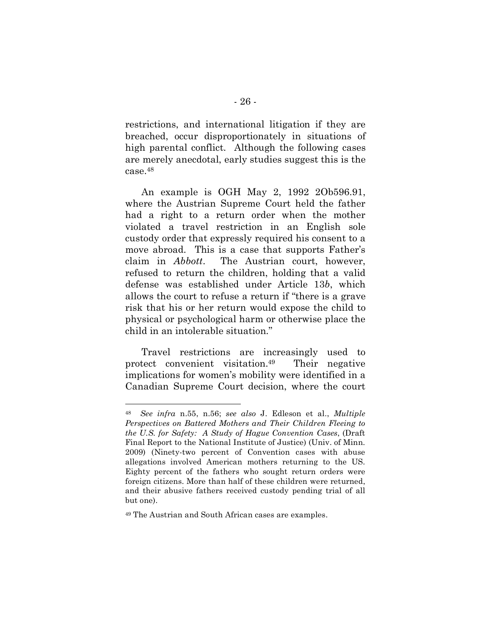restrictions, and international litigation if they are breached, occur disproportionately in situations of high parental conflict. Although the following cases are merely anecdotal, early studies suggest this is the case.48

An example is OGH May 2, 1992 2Ob596.91, where the Austrian Supreme Court held the father had a right to a return order when the mother violated a travel restriction in an English sole custody order that expressly required his consent to a move abroad. This is a case that supports Father's claim in *Abbott*. The Austrian court, however, refused to return the children, holding that a valid defense was established under Article 13*b*, which allows the court to refuse a return if "there is a grave risk that his or her return would expose the child to physical or psychological harm or otherwise place the child in an intolerable situation."

Travel restrictions are increasingly used to protect convenient visitation.49 Their negative implications for women's mobility were identified in a Canadian Supreme Court decision, where the court

<sup>48</sup> *See infra* n.55, n.56; *see also* J. Edleson et al., *Multiple Perspectives on Battered Mothers and Their Children Fleeing to the U.S. for Safety: A Study of Hague Convention Cases*, (Draft Final Report to the National Institute of Justice) (Univ. of Minn. 2009) (Ninety-two percent of Convention cases with abuse allegations involved American mothers returning to the US. Eighty percent of the fathers who sought return orders were foreign citizens. More than half of these children were returned, and their abusive fathers received custody pending trial of all but one).

<sup>49</sup> The Austrian and South African cases are examples.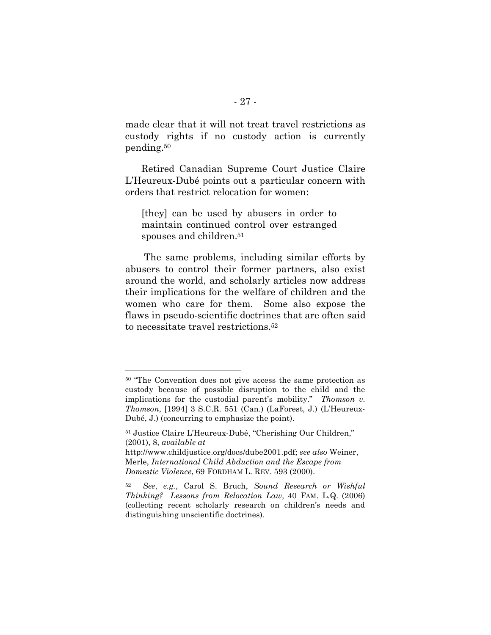made clear that it will not treat travel restrictions as custody rights if no custody action is currently pending.50

Retired Canadian Supreme Court Justice Claire L'Heureux-Dubé points out a particular concern with orders that restrict relocation for women:

[they] can be used by abusers in order to maintain continued control over estranged spouses and children.<sup>51</sup>

 The same problems, including similar efforts by abusers to control their former partners, also exist around the world, and scholarly articles now address their implications for the welfare of children and the women who care for them. Some also expose the flaws in pseudo-scientific doctrines that are often said to necessitate travel restrictions.52

<sup>50 &</sup>quot;The Convention does not give access the same protection as custody because of possible disruption to the child and the implications for the custodial parent's mobility." *Thomson v. Thomson*, [1994] 3 S.C.R. 551 (Can.) (LaForest, J.) (L'Heureux-Dubé, J.) (concurring to emphasize the point).

<sup>51</sup> Justice Claire L'Heureux-Dubé, "Cherishing Our Children," (2001), 8, *available at*

http://www.childjustice.org/docs/dube2001.pdf; *see also* Weiner, Merle, *International Child Abduction and the Escape from Domestic Violence*, 69 FORDHAM L. REV. 593 (2000).

<sup>52</sup> *See*, *e.g.*, Carol S. Bruch, *Sound Research or Wishful Thinking? Lessons from Relocation Law,* 40 FAM. L.Q. (2006) (collecting recent scholarly research on children's needs and distinguishing unscientific doctrines).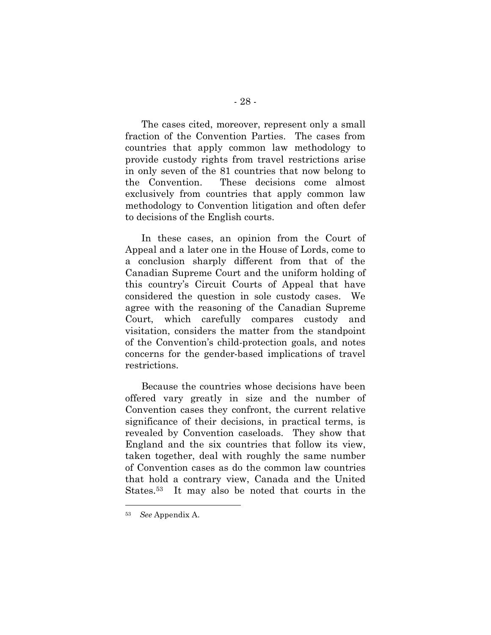The cases cited, moreover, represent only a small fraction of the Convention Parties. The cases from countries that apply common law methodology to provide custody rights from travel restrictions arise in only seven of the 81 countries that now belong to the Convention. These decisions come almost exclusively from countries that apply common law methodology to Convention litigation and often defer to decisions of the English courts.

In these cases, an opinion from the Court of Appeal and a later one in the House of Lords, come to a conclusion sharply different from that of the Canadian Supreme Court and the uniform holding of this country's Circuit Courts of Appeal that have considered the question in sole custody cases. We agree with the reasoning of the Canadian Supreme Court, which carefully compares custody and visitation, considers the matter from the standpoint of the Convention's child-protection goals, and notes concerns for the gender-based implications of travel restrictions.

Because the countries whose decisions have been offered vary greatly in size and the number of Convention cases they confront, the current relative significance of their decisions, in practical terms, is revealed by Convention caseloads. They show that England and the six countries that follow its view, taken together, deal with roughly the same number of Convention cases as do the common law countries that hold a contrary view, Canada and the United States.53 It may also be noted that courts in the

<sup>53</sup> *See* Appendix A.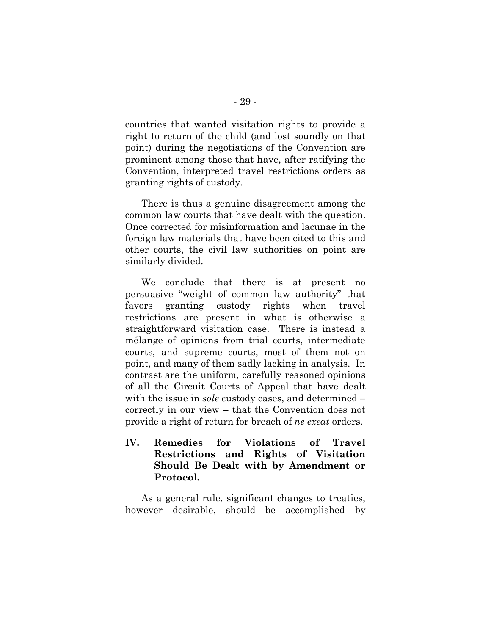countries that wanted visitation rights to provide a right to return of the child (and lost soundly on that point) during the negotiations of the Convention are prominent among those that have, after ratifying the Convention, interpreted travel restrictions orders as granting rights of custody.

There is thus a genuine disagreement among the common law courts that have dealt with the question. Once corrected for misinformation and lacunae in the foreign law materials that have been cited to this and other courts, the civil law authorities on point are similarly divided.

We conclude that there is at present no persuasive "weight of common law authority" that favors granting custody rights when travel restrictions are present in what is otherwise a straightforward visitation case. There is instead a mélange of opinions from trial courts, intermediate courts, and supreme courts, most of them not on point, and many of them sadly lacking in analysis. In contrast are the uniform, carefully reasoned opinions of all the Circuit Courts of Appeal that have dealt with the issue in *sole* custody cases, and determined – correctly in our view – that the Convention does not provide a right of return for breach of *ne exeat* orders.

**IV. Remedies for Violations of Travel Restrictions and Rights of Visitation Should Be Dealt with by Amendment or Protocol.**

As a general rule, significant changes to treaties, however desirable, should be accomplished by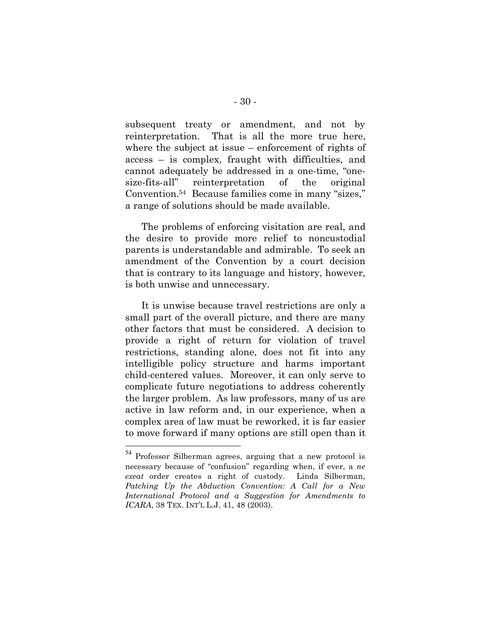subsequent treaty or amendment, and not by reinterpretation. That is all the more true here, where the subject at issue – enforcement of rights of access – is complex, fraught with difficulties, and cannot adequately be addressed in a one-time, "onesize-fits-all" reinterpretation of the original Convention.54 Because families come in many "sizes," a range of solutions should be made available.

The problems of enforcing visitation are real, and the desire to provide more relief to noncustodial parents is understandable and admirable. To seek an amendment of the Convention by a court decision that is contrary to its language and history, however, is both unwise and unnecessary.

It is unwise because travel restrictions are only a small part of the overall picture, and there are many other factors that must be considered. A decision to provide a right of return for violation of travel restrictions, standing alone, does not fit into any intelligible policy structure and harms important child-centered values. Moreover, it can only serve to complicate future negotiations to address coherently the larger problem. As law professors, many of us are active in law reform and, in our experience, when a complex area of law must be reworked, it is far easier to move forward if many options are still open than it

 <sup>54</sup> Professor Silberman agrees, arguing that a new protocol is necessary because of "confusion" regarding when, if ever, a *ne exeat* order creates a right of custody. Linda Silberman, *Patching Up the Abduction Convention: A Call for a New International Protocol and a Suggestion for Amendments to ICARA*, 38 TEX. INT'L L.J. 41, 48 (2003).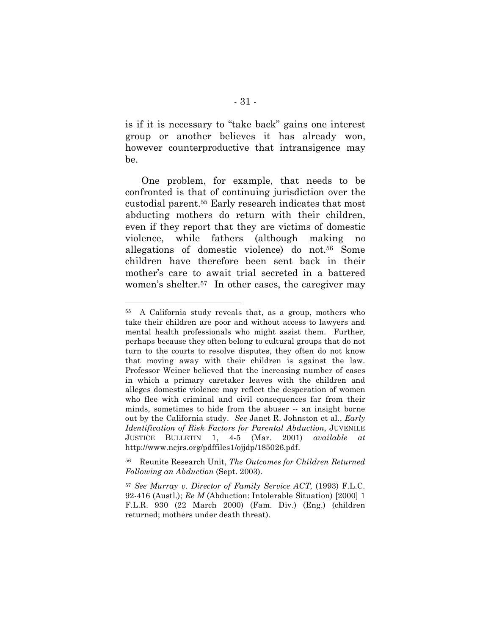is if it is necessary to "take back" gains one interest group or another believes it has already won, however counterproductive that intransigence may be.

One problem, for example, that needs to be confronted is that of continuing jurisdiction over the custodial parent.55 Early research indicates that most abducting mothers do return with their children, even if they report that they are victims of domestic violence, while fathers (although making no allegations of domestic violence) do not.56 Some children have therefore been sent back in their mother's care to await trial secreted in a battered women's shelter.57 In other cases, the caregiver may

<sup>55</sup> A California study reveals that, as a group, mothers who take their children are poor and without access to lawyers and mental health professionals who might assist them. Further, perhaps because they often belong to cultural groups that do not turn to the courts to resolve disputes, they often do not know that moving away with their children is against the law. Professor Weiner believed that the increasing number of cases in which a primary caretaker leaves with the children and alleges domestic violence may reflect the desperation of women who flee with criminal and civil consequences far from their minds, sometimes to hide from the abuser -- an insight borne out by the California study. *See* Janet R. Johnston et al., *Early Identification of Risk Factors for Parental Abduction*, JUVENILE JUSTICE BULLETIN 1, 4-5 (Mar. 2001) *available at* http://www.ncjrs.org/pdffiles1/ojjdp/185026.pdf.

<sup>56</sup> Reunite Research Unit, *The Outcomes for Children Returned Following an Abduction* (Sept. 2003).

<sup>57</sup> *See Murray v. Director of Family Service ACT*, (1993) F.L.C. 92-416 (Austl.); *Re M* (Abduction: Intolerable Situation) [2000] 1 F.L.R. 930 (22 March 2000) (Fam. Div.) (Eng.) (children returned; mothers under death threat).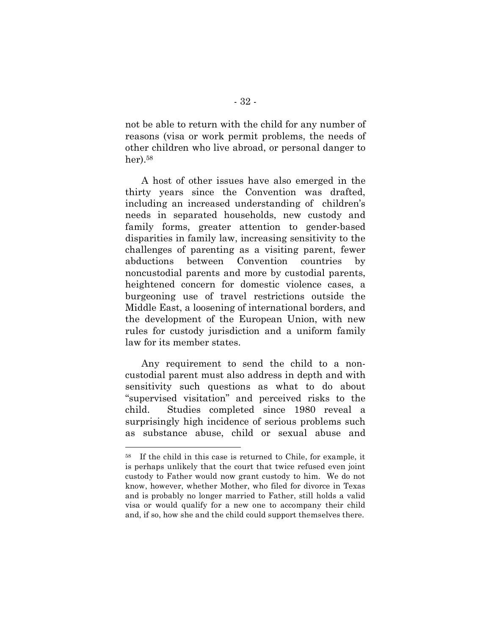not be able to return with the child for any number of reasons (visa or work permit problems, the needs of other children who live abroad, or personal danger to her).58

A host of other issues have also emerged in the thirty years since the Convention was drafted, including an increased understanding of children's needs in separated households, new custody and family forms, greater attention to gender-based disparities in family law, increasing sensitivity to the challenges of parenting as a visiting parent, fewer abductions between Convention countries by noncustodial parents and more by custodial parents, heightened concern for domestic violence cases, a burgeoning use of travel restrictions outside the Middle East, a loosening of international borders, and the development of the European Union, with new rules for custody jurisdiction and a uniform family law for its member states.

Any requirement to send the child to a noncustodial parent must also address in depth and with sensitivity such questions as what to do about "supervised visitation" and perceived risks to the child. Studies completed since 1980 reveal a surprisingly high incidence of serious problems such as substance abuse, child or sexual abuse and

<sup>58</sup> If the child in this case is returned to Chile, for example, it is perhaps unlikely that the court that twice refused even joint custody to Father would now grant custody to him. We do not know, however, whether Mother, who filed for divorce in Texas and is probably no longer married to Father, still holds a valid visa or would qualify for a new one to accompany their child and, if so, how she and the child could support themselves there.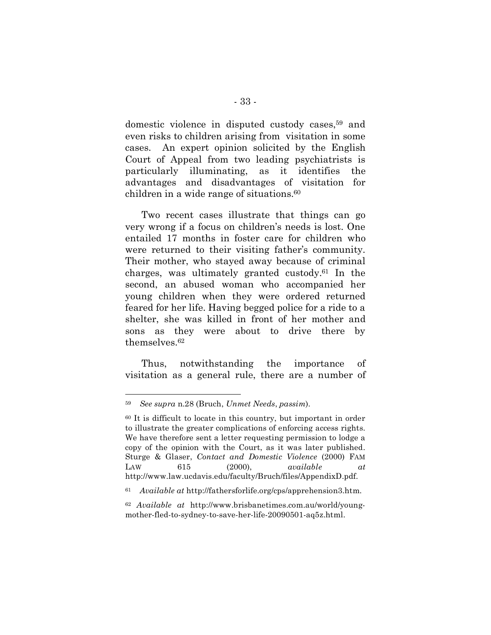domestic violence in disputed custody cases,59 and even risks to children arising from visitation in some cases. An expert opinion solicited by the English Court of Appeal from two leading psychiatrists is particularly illuminating, as it identifies the advantages and disadvantages of visitation for children in a wide range of situations.60

Two recent cases illustrate that things can go very wrong if a focus on children's needs is lost. One entailed 17 months in foster care for children who were returned to their visiting father's community. Their mother, who stayed away because of criminal charges, was ultimately granted custody.61 In the second, an abused woman who accompanied her young children when they were ordered returned feared for her life. Having begged police for a ride to a shelter, she was killed in front of her mother and sons as they were about to drive there by themselves.62

Thus, notwithstanding the importance of visitation as a general rule, there are a number of

<sup>59</sup> *See supra* n.28 (Bruch, *Unmet Needs*, *passim*).

<sup>60</sup> It is difficult to locate in this country, but important in order to illustrate the greater complications of enforcing access rights. We have therefore sent a letter requesting permission to lodge a copy of the opinion with the Court, as it was later published. Sturge & Glaser, *Contact and Domestic Violence* (2000) FAM LAW 615 (2000), *available at* http://www.law.ucdavis.edu/faculty/Bruch/files/AppendixD.pdf.

<sup>61</sup> *Available at* http://fathersforlife.org/cps/apprehension3.htm.

<sup>62</sup> *Available at* http://www.brisbanetimes.com.au/world/youngmother-fled-to-sydney-to-save-her-life-20090501-aq5z.html.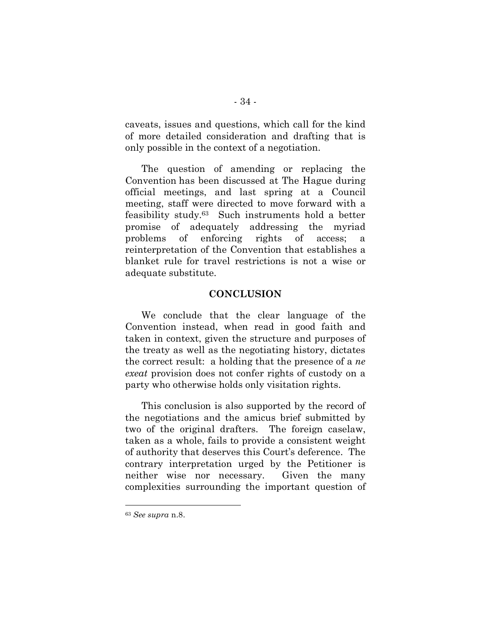caveats, issues and questions, which call for the kind of more detailed consideration and drafting that is only possible in the context of a negotiation.

The question of amending or replacing the Convention has been discussed at The Hague during official meetings, and last spring at a Council meeting, staff were directed to move forward with a feasibility study. 63 Such instruments hold a better promise of adequately addressing the myriad problems of enforcing rights of access; a reinterpretation of the Convention that establishes a blanket rule for travel restrictions is not a wise or adequate substitute.

#### **CONCLUSION**

We conclude that the clear language of the Convention instead, when read in good faith and taken in context, given the structure and purposes of the treaty as well as the negotiating history, dictates the correct result: a holding that the presence of a *ne exeat* provision does not confer rights of custody on a party who otherwise holds only visitation rights.

This conclusion is also supported by the record of the negotiations and the amicus brief submitted by two of the original drafters. The foreign caselaw, taken as a whole, fails to provide a consistent weight of authority that deserves this Court's deference. The contrary interpretation urged by the Petitioner is neither wise nor necessary. Given the many complexities surrounding the important question of

<sup>63</sup> *See supra* n.8.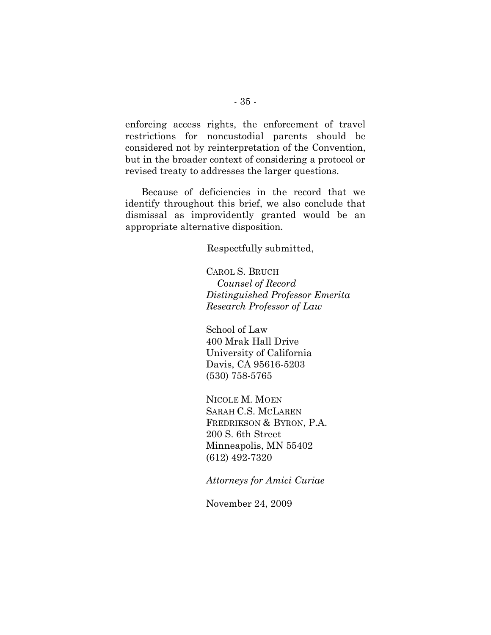enforcing access rights, the enforcement of travel restrictions for noncustodial parents should be considered not by reinterpretation of the Convention, but in the broader context of considering a protocol or revised treaty to addresses the larger questions.

Because of deficiencies in the record that we identify throughout this brief, we also conclude that dismissal as improvidently granted would be an appropriate alternative disposition.

Respectfully submitted,

CAROL S. BRUCH  *Counsel of Record Distinguished Professor Emerita Research Professor of Law*

School of Law 400 Mrak Hall Drive University of California Davis, CA 95616-5203 (530) 758-5765

NICOLE M. MOEN SARAH C.S. MCLAREN FREDRIKSON & BYRON, P.A. 200 S. 6th Street Minneapolis, MN 55402 (612) 492-7320

*Attorneys for Amici Curiae*

November 24, 2009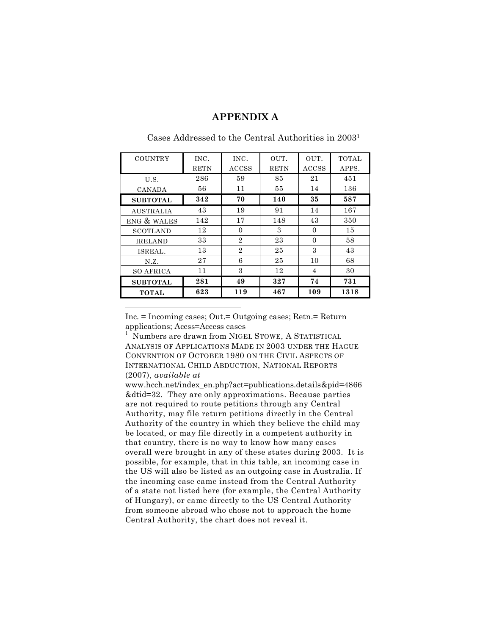#### **APPENDIX A**

| <b>COUNTRY</b>   | INC.        | INC.           | OUT.        | OUT.           | <b>TOTAL</b> |
|------------------|-------------|----------------|-------------|----------------|--------------|
|                  | <b>RETN</b> | ACCSS          | <b>RETN</b> | <b>ACCSS</b>   | APPS.        |
| U.S.             | 286         | 59             | 85          | 21             | 451          |
| CANADA           | 56          | 11             | 55          | 14             | 136          |
| <b>SUBTOTAL</b>  | 342         | 70             | 140         | 35             | 587          |
| <b>AUSTRALIA</b> | 43          | 19             | 91          | 14             | 167          |
| ENG & WALES      | 142         | 17             | 148         | 43             | 350          |
| <b>SCOTLAND</b>  | 12          | $\Omega$       | 3           | $\Omega$       | 15           |
| <b>IRELAND</b>   | 33          | $\overline{2}$ | 23          | $\theta$       | 58           |
| ISREAL.          | 13          | $\overline{2}$ | 25          | 3              | 43           |
| N.Z.             | 27          | 6              | 25          | 10             | 68           |
| <b>SO AFRICA</b> | 11          | 3              | 12          | $\overline{4}$ | 30           |
| <b>SUBTOTAL</b>  | 281         | 49             | 327         | 74             | 731          |
| <b>TOTAL</b>     | 623         | 119            | 467         | 109            | 1318         |

#### Cases Addressed to the Central Authorities in 20031

Inc. = Incoming cases; Out.= Outgoing cases; Retn.= Return applications; Accss=Access cases

 $\overline{a}$ 

1 Numbers are drawn from NIGEL STOWE, A STATISTICAL ANALYSIS OF APPLICATIONS MADE IN 2003 UNDER THE HAGUE CONVENTION OF OCTOBER 1980 ON THE CIVIL ASPECTS OF INTERNATIONAL CHILD ABDUCTION, NATIONAL REPORTS (2007), *available at* 

www.hcch.net/index\_en.php?act=publications.details&pid=4866 &dtid=32. They are only approximations. Because parties are not required to route petitions through any Central Authority, may file return petitions directly in the Central Authority of the country in which they believe the child may be located, or may file directly in a competent authority in that country, there is no way to know how many cases overall were brought in any of these states during 2003. It is possible, for example, that in this table, an incoming case in the US will also be listed as an outgoing case in Australia. If the incoming case came instead from the Central Authority of a state not listed here (for example, the Central Authority of Hungary), or came directly to the US Central Authority from someone abroad who chose not to approach the home Central Authority, the chart does not reveal it.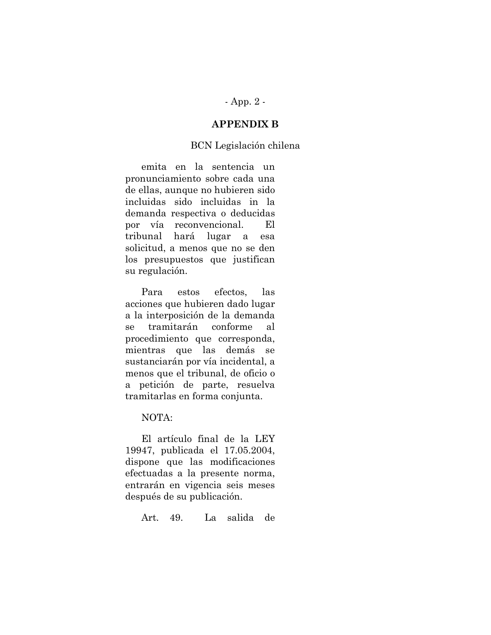## - App. 2 -

## **APPENDIX B**

#### BCN Legislación chilena

emita en la sentencia un pronunciamiento sobre cada una de ellas, aunque no hubieren sido incluidas sido incluidas in la demanda respectiva o deducidas por vía reconvencional. El tribunal hará lugar a esa solicitud, a menos que no se den los presupuestos que justifican su regulación.

Para estos efectos, las acciones que hubieren dado lugar a la interposición de la demanda se tramitarán conforme al procedimiento que corresponda, mientras que las demás se sustanciarán por vía incidental, a menos que el tribunal, de oficio o a petición de parte, resuelva tramitarlas en forma conjunta.

#### NOTA:

El artículo final de la LEY 19947, publicada el 17.05.2004, dispone que las modificaciones efectuadas a la presente norma, entrarán en vigencia seis meses después de su publicación.

Art. 49. La salida de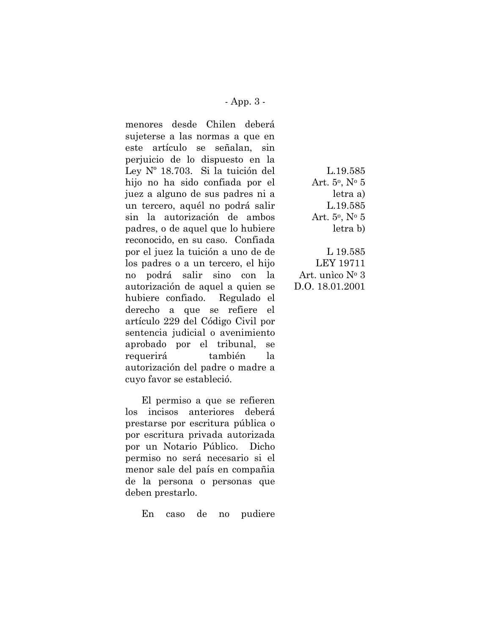- App. 3 -

menores desde Chilen deberá sujeterse a las normas a que en este artículo se señalan, sin perjuicio de lo dispuesto en la Ley Nº 18.703. Si la tuición del hijo no ha sido confiada por el juez a alguno de sus padres ni a un tercero, aquél no podrá salir sin la autorización de ambos padres, o de aquel que lo hubiere reconocido, en su caso. Confiada por el juez la tuición a uno de de los padres o a un tercero, el hijo no podrá salir sino con la autorización de aquel a quien se hubiere confiado. Regulado el derecho a que se refiere el artículo 229 del Código Civil por sentencia judicial o avenimiento aprobado por el tribunal, se requerirá también la autorización del padre o madre a cuyo favor se estableció.

El permiso a que se refieren los incisos anteriores deberá prestarse por escritura pública o por escritura privada autorizada por un Notario Público. Dicho permiso no será necesario si el menor sale del país en compañia de la persona o personas que deben prestarlo.

En caso de no pudiere

L.19.585 Art.  $5^{\circ}$ , N°  $5^{\circ}$ letra a) L.19.585 Art. 5o, No 5 letra b)

L 19.585 LEY 19711 Art. unìco No 3 D.O. 18.01.2001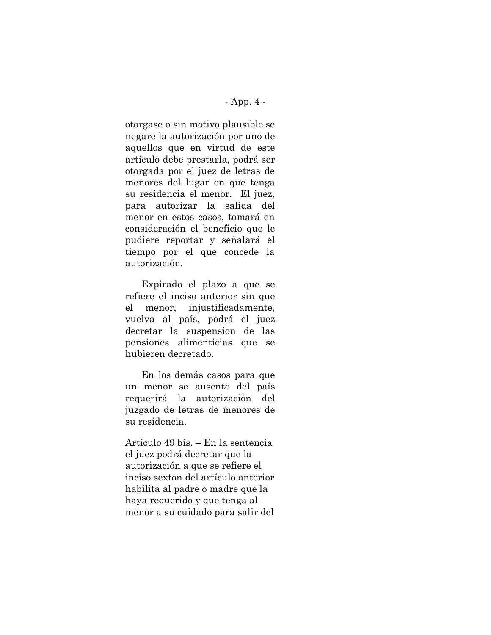#### - App. 4 -

otorgase o sin motivo plausible se negare la autorización por uno de aquellos que en virtud de este artículo debe prestarla, podrá ser otorgada por el juez de letras de menores del lugar en que tenga su residencia el menor. El juez, para autorizar la salida del menor en estos casos, tomará en consideración el beneficio que le pudiere reportar y señalará el tiempo por el que concede la autorización.

Expirado el plazo a que se refiere el inciso anterior sin que el menor, injustificadamente, vuelva al país, podrá el juez decretar la suspension de las pensiones alimenticias que se hubieren decretado.

En los demás casos para que un menor se ausente del país requerirá la autorización del juzgado de letras de menores de su residencia.

Artículo 49 bis. – En la sentencia el juez podrá decretar que la autorización a que se refiere el inciso sexton del artículo anterior habilita al padre o madre que la haya requerido y que tenga al menor a su cuidado para salir del